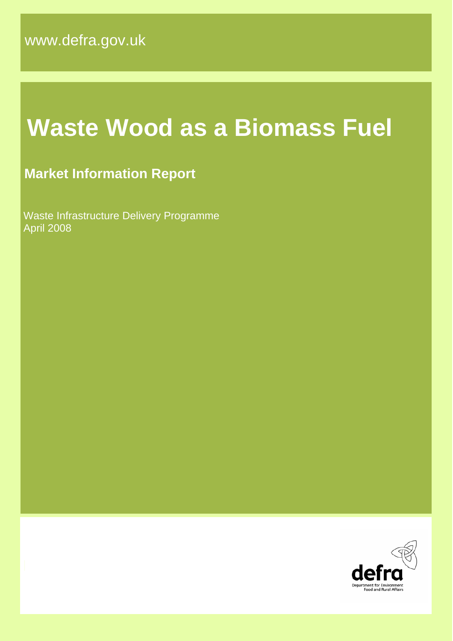# **Waste Wood as a Biomass Fuel**

# **Market Information Report**

 Waste Infrastructure Delivery Programme April 2008

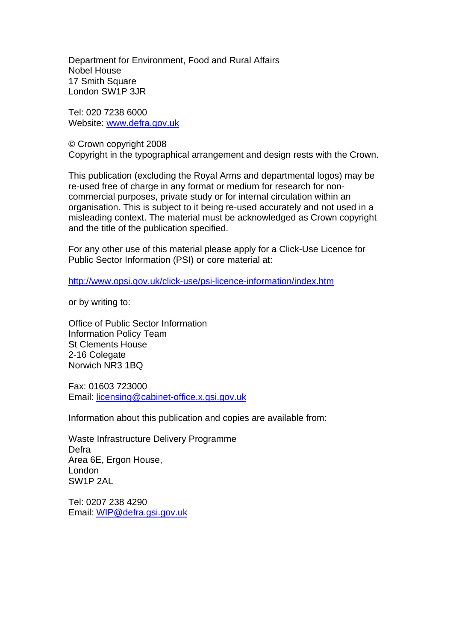Department for Environment, Food and Rural Affairs Nobel House 17 Smith Square London SW1P 3JR

Tel: 020 7238 6000 Website: [www.defra.gov.uk](http://www.defra.gov.uk/)

© Crown copyright 2008 Copyright in the typographical arrangement and design rests with the Crown.

This publication (excluding the Royal Arms and departmental logos) may be re-used free of charge in any format or medium for research for noncommercial purposes, private study or for internal circulation within an organisation. This is subject to it being re-used accurately and not used in a misleading context. The material must be acknowledged as Crown copyright and the title of the publication specified.

For any other use of this material please apply for a Click-Use Licence for Public Sector Information (PSI) or core material at:

<http://www.opsi.gov.uk/click-use/psi-licence-information/index.htm>

or by writing to:

Office of Public Sector Information Information Policy Team St Clements House 2-16 Colegate Norwich NR3 1BQ

Fax: 01603 723000 Email: [licensing@cabinet-office.x.gsi.gov.uk](mailto:licensing@cabinet-office.x.gsi.gov.uk)

Information about this publication and copies are available from:

Waste Infrastructure Delivery Programme Defra Area 6E, Ergon House, London SW1P 2AL

Tel: 0207 238 4290 Email: [WIP@defra.gsi.gov.uk](mailto:WIP@defra.gsi.gov.uk)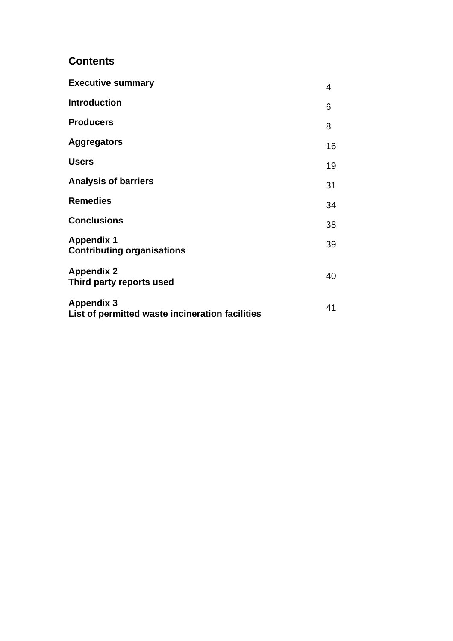## **Contents**

| <b>Executive summary</b>                                             | 4  |
|----------------------------------------------------------------------|----|
| <b>Introduction</b>                                                  | 6  |
| <b>Producers</b>                                                     | 8  |
| <b>Aggregators</b>                                                   | 16 |
| <b>Users</b>                                                         | 19 |
| <b>Analysis of barriers</b>                                          | 31 |
| <b>Remedies</b>                                                      | 34 |
| <b>Conclusions</b>                                                   | 38 |
| <b>Appendix 1</b><br><b>Contributing organisations</b>               | 39 |
| <b>Appendix 2</b><br>Third party reports used                        | 40 |
| <b>Appendix 3</b><br>List of permitted waste incineration facilities | 41 |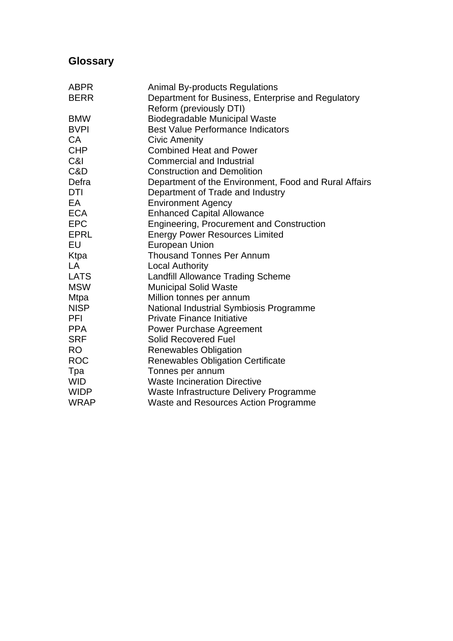# **Glossary**

| <b>ABPR</b> | <b>Animal By-products Regulations</b>                 |
|-------------|-------------------------------------------------------|
| <b>BERR</b> | Department for Business, Enterprise and Regulatory    |
|             | Reform (previously DTI)                               |
| <b>BMW</b>  | <b>Biodegradable Municipal Waste</b>                  |
| <b>BVPI</b> | <b>Best Value Performance Indicators</b>              |
| CA          | <b>Civic Amenity</b>                                  |
| <b>CHP</b>  | <b>Combined Heat and Power</b>                        |
| C&I         | <b>Commercial and Industrial</b>                      |
| C&D         | <b>Construction and Demolition</b>                    |
| Defra       | Department of the Environment, Food and Rural Affairs |
| DTI         | Department of Trade and Industry                      |
| EA          | <b>Environment Agency</b>                             |
| <b>ECA</b>  | <b>Enhanced Capital Allowance</b>                     |
| <b>EPC</b>  | <b>Engineering, Procurement and Construction</b>      |
| <b>EPRL</b> | <b>Energy Power Resources Limited</b>                 |
| EU          | <b>European Union</b>                                 |
| Ktpa        | <b>Thousand Tonnes Per Annum</b>                      |
| LA          | <b>Local Authority</b>                                |
| <b>LATS</b> | <b>Landfill Allowance Trading Scheme</b>              |
| <b>MSW</b>  | <b>Municipal Solid Waste</b>                          |
| <b>Mtpa</b> | Million tonnes per annum                              |
| <b>NISP</b> | National Industrial Symbiosis Programme               |
| PFI         | <b>Private Finance Initiative</b>                     |
| <b>PPA</b>  | <b>Power Purchase Agreement</b>                       |
| <b>SRF</b>  | <b>Solid Recovered Fuel</b>                           |
| RO          | <b>Renewables Obligation</b>                          |
| <b>ROC</b>  | <b>Renewables Obligation Certificate</b>              |
| Tpa         | Tonnes per annum                                      |
| <b>WID</b>  | <b>Waste Incineration Directive</b>                   |
| <b>WIDP</b> | Waste Infrastructure Delivery Programme               |
| <b>WRAP</b> | Waste and Resources Action Programme                  |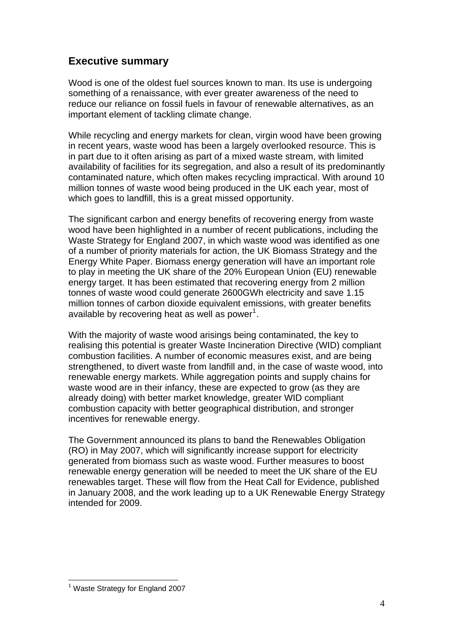## <span id="page-4-0"></span>**Executive summary**

Wood is one of the oldest fuel sources known to man. Its use is undergoing something of a renaissance, with ever greater awareness of the need to reduce our reliance on fossil fuels in favour of renewable alternatives, as an important element of tackling climate change.

While recycling and energy markets for clean, virgin wood have been growing in recent years, waste wood has been a largely overlooked resource. This is in part due to it often arising as part of a mixed waste stream, with limited availability of facilities for its segregation, and also a result of its predominantly contaminated nature, which often makes recycling impractical. With around 10 million tonnes of waste wood being produced in the UK each year, most of which goes to landfill, this is a great missed opportunity.

The significant carbon and energy benefits of recovering energy from waste wood have been highlighted in a number of recent publications, including the Waste Strategy for England 2007, in which waste wood was identified as one of a number of priority materials for action, the UK Biomass Strategy and the Energy White Paper. Biomass energy generation will have an important role to play in meeting the UK share of the 20% European Union (EU) renewable energy target. It has been estimated that recovering energy from 2 million tonnes of waste wood could generate 2600GWh electricity and save 1.15 million tonnes of carbon dioxide equivalent emissions, with greater benefits available by recovering heat as well as power<sup>[1](#page-4-1)</sup>.

With the majority of waste wood arisings being contaminated, the key to realising this potential is greater Waste Incineration Directive (WID) compliant combustion facilities. A number of economic measures exist, and are being strengthened, to divert waste from landfill and, in the case of waste wood, into renewable energy markets. While aggregation points and supply chains for waste wood are in their infancy, these are expected to grow (as they are already doing) with better market knowledge, greater WID compliant combustion capacity with better geographical distribution, and stronger incentives for renewable energy.

The Government announced its plans to band the Renewables Obligation (RO) in May 2007, which will significantly increase support for electricity generated from biomass such as waste wood. Further measures to boost renewable energy generation will be needed to meet the UK share of the EU renewables target. These will flow from the Heat Call for Evidence, published in January 2008, and the work leading up to a UK Renewable Energy Strategy intended for 2009.

<span id="page-4-1"></span>l <sup>1</sup> Waste Strategy for England 2007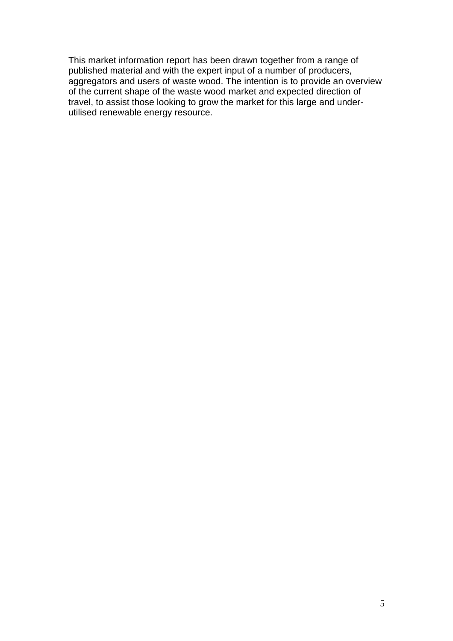This market information report has been drawn together from a range of published material and with the expert input of a number of producers, aggregators and users of waste wood. The intention is to provide an overview of the current shape of the waste wood market and expected direction of travel, to assist those looking to grow the market for this large and underutilised renewable energy resource.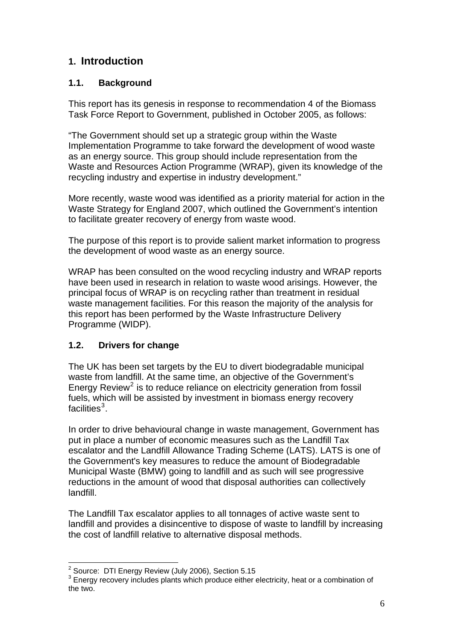## <span id="page-6-0"></span>**1. Introduction**

## **1.1. Background**

This report has its genesis in response to recommendation 4 of the Biomass Task Force Report to Government, published in October 2005, as follows:

"The Government should set up a strategic group within the Waste Implementation Programme to take forward the development of wood waste as an energy source. This group should include representation from the Waste and Resources Action Programme (WRAP), given its knowledge of the recycling industry and expertise in industry development."

More recently, waste wood was identified as a priority material for action in the Waste Strategy for England 2007, which outlined the Government's intention to facilitate greater recovery of energy from waste wood.

The purpose of this report is to provide salient market information to progress the development of wood waste as an energy source.

WRAP has been consulted on the wood recycling industry and WRAP reports have been used in research in relation to waste wood arisings. However, the principal focus of WRAP is on recycling rather than treatment in residual waste management facilities. For this reason the majority of the analysis for this report has been performed by the Waste Infrastructure Delivery Programme (WIDP).

## **1.2. Drivers for change**

The UK has been set targets by the EU to divert biodegradable municipal waste from landfill. At the same time, an objective of the Government's Energy Review<sup>[2](#page-6-1)</sup> is to reduce reliance on electricity generation from fossil fuels, which will be assisted by investment in biomass energy recovery facilities $^3$  $^3$ .

In order to drive behavioural change in waste management, Government has put in place a number of economic measures such as the Landfill Tax escalator and the Landfill Allowance Trading Scheme (LATS). LATS is one of the Government's key measures to reduce the amount of Biodegradable Municipal Waste (BMW) going to landfill and as such will see progressive reductions in the amount of wood that disposal authorities can collectively landfill.

The Landfill Tax escalator applies to all tonnages of active waste sent to landfill and provides a disincentive to dispose of waste to landfill by increasing the cost of landfill relative to alternative disposal methods.

 2 Source: DTI Energy Review (July 2006), Section 5.15

<span id="page-6-2"></span><span id="page-6-1"></span><sup>&</sup>lt;sup>3</sup> Energy recovery includes plants which produce either electricity, heat or a combination of the two.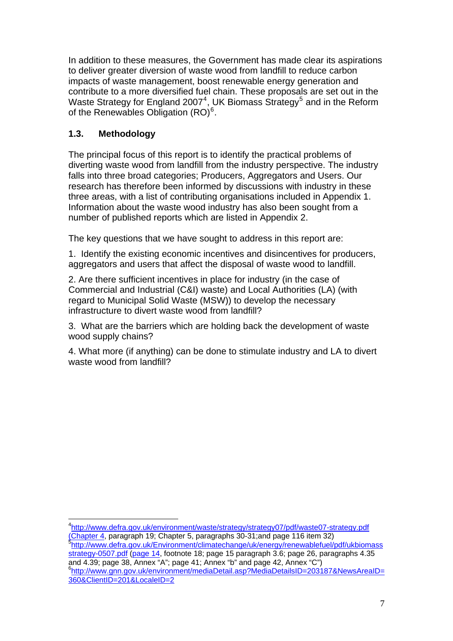In addition to these measures, the Government has made clear its aspirations to deliver greater diversion of waste wood from landfill to reduce carbon impacts of waste management, boost renewable energy generation and contribute to a more diversified fuel chain. These proposals are set out in the Waste Strategy for England 2007<sup>[4](#page-7-0)</sup>, UK Biomass Strategy<sup>[5](#page-7-1)</sup> and in the Reform of the Renewables Obligation  $(RO)^6$  $(RO)^6$ .

## **1.3. Methodology**

l

The principal focus of this report is to identify the practical problems of diverting waste wood from landfill from the industry perspective. The industry falls into three broad categories; Producers, Aggregators and Users. Our research has therefore been informed by discussions with industry in these three areas, with a list of contributing organisations included in Appendix 1. Information about the waste wood industry has also been sought from a number of published reports which are listed in Appendix 2.

The key questions that we have sought to address in this report are:

1. Identify the existing economic incentives and disincentives for producers, aggregators and users that affect the disposal of waste wood to landfill.

2. Are there sufficient incentives in place for industry (in the case of Commercial and Industrial (C&I) waste) and Local Authorities (LA) (with regard to Municipal Solid Waste (MSW)) to develop the necessary infrastructure to divert waste wood from landfill?

3. What are the barriers which are holding back the development of waste wood supply chains?

4. What more (if anything) can be done to stimulate industry and LA to divert waste wood from landfill?

<span id="page-7-2"></span><span id="page-7-1"></span><span id="page-7-0"></span>4 <http://www.defra.gov.uk/environment/waste/strategy/strategy07/pdf/waste07-strategy.pdf> [\(Chapter 4](http://defraweb/environment/waste/strategy/strategy07/pdf/waste07-strategy.pdf;%20Chapter%204), paragraph 19; Chapter [5](http://defraweb/environment/waste/strategy/strategy07/pdf/waste07-strategy.pdf;%20Chapter%204), paragraphs 30-31;and page 116 item 32) [http://www.defra.gov.uk/Environment/climatechange/uk/energy/renewablefuel/pdf/ukbiomass](http://www.defra.gov.uk/Environment/climatechange/uk/energy/renewablefuel/pdf/ukbiomassstrategy-0507.pdf) [strategy-0507.pdf](http://www.defra.gov.uk/Environment/climatechange/uk/energy/renewablefuel/pdf/ukbiomassstrategy-0507.pdf) [\(page 14,](http://defraweb/environment/climatechange/uk/energy/renewablefuel/pdf/ukbiomassstrategy-0507.pdf;%20page%2014) footnote 18; page 15 paragraph 3.6; page 26, paragraphs 4.35 and  $4.39$ ; page  $38$ , Annex "A"; page  $41$ ; Annex "b" and page  $42$ , Annex "C") [http://www.gnn.gov.uk/environment/mediaDetail.asp?MediaDetailsID=203187&NewsAreaID=](http://www.gnn.gov.uk/environment/mediaDetail.asp?MediaDetailsID=203187&NewsAreaID=360&ClientID=201&LocaleID=2) [360&ClientID=201&LocaleID=2](http://www.gnn.gov.uk/environment/mediaDetail.asp?MediaDetailsID=203187&NewsAreaID=360&ClientID=201&LocaleID=2)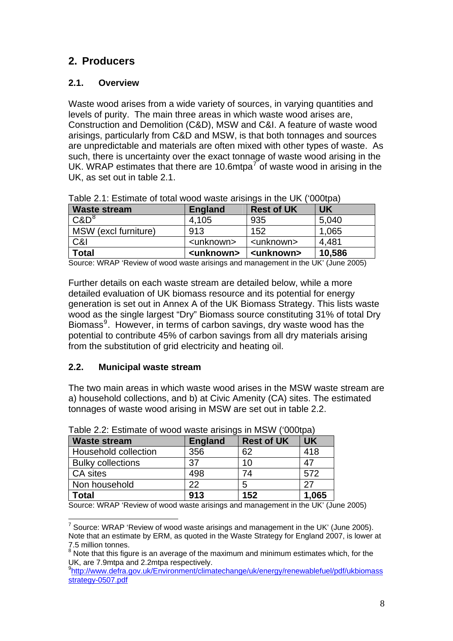## **2. Producers**

## **2.1. Overview**

Waste wood arises from a wide variety of sources, in varying quantities and levels of purity. The main three areas in which waste wood arises are, Construction and Demolition (C&D), MSW and C&I. A feature of waste wood arisings, particularly from C&D and MSW, is that both tonnages and sources are unpredictable and materials are often mixed with other types of waste. As such, there is uncertainty over the exact tonnage of waste wood arising in the UK. WRAP estimates that there are 10.6mtpa<sup>[7](#page-8-1)</sup> of waste wood in arising in the UK, as set out in table 2.1.

| <b>Waste stream</b>  | <b>England</b>      | <b>Rest of UK</b>   | <b>UK</b> |
|----------------------|---------------------|---------------------|-----------|
| $C\&D^8$             | 4.105               | 935                 | 5,040     |
| MSW (excl furniture) | 913                 | 152                 | 1,065     |
| C&I                  | <unknown></unknown> | <unknown></unknown> | 4.481     |
| <b>Total</b>         | <unknown></unknown> | <unknown></unknown> | 10,586    |

Table 2.1: Estimate of total wood waste arisings in the UK ('000tpa)

Source: WRAP 'Review of wood waste arisings and management in the UK' (June 2005)

Further details on each waste stream are detailed below, while a more detailed evaluation of UK biomass resource and its potential for energy generation is set out in Annex A of the UK Biomass Strategy. This lists waste wood as the single largest "Dry" Biomass source constituting 31% of total Dry Biomass<sup>[9](#page-8-3)</sup>. However, in terms of carbon savings, dry waste wood has the potential to contribute 45% of carbon savings from all dry materials arising from the substitution of grid electricity and heating oil.

## **2.2. Municipal waste stream**

The two main areas in which waste wood arises in the MSW waste stream are a) household collections, and b) at Civic Amenity (CA) sites. The estimated tonnages of waste wood arising in MSW are set out in table 2.2.

| Table 2.2. Lournale Of WOOD Waste anonings in MOWY (OOODa) |                |                   |           |  |  |
|------------------------------------------------------------|----------------|-------------------|-----------|--|--|
| <b>Waste stream</b>                                        | <b>England</b> | <b>Rest of UK</b> | <b>UK</b> |  |  |
| Household collection                                       | 356            | 62                | 418       |  |  |
| <b>Bulky collections</b>                                   | 37             | 10                | 47        |  |  |
| CA sites                                                   | 498            | 74                | 572       |  |  |
| Non household                                              | 22             | 5                 | 27        |  |  |
| <b>Total</b>                                               | 913            | 152               | 1,065     |  |  |

Table 2.2: Estimate of wood waste arisings in MSW ('000tpa)

<span id="page-8-0"></span>Source: WRAP 'Review of wood waste arisings and management in the UK' (June 2005)

<span id="page-8-1"></span>l  $7$  Source: WRAP 'Review of wood waste arisings and management in the UK' (June 2005). Note that an estimate by ERM, as quoted in the Waste Strategy for England 2007, is lower at 7.5 million tonnes.

<span id="page-8-2"></span> $8$  Note that this figure is an average of the maximum and minimum estimates which, for the UK, are 7.9mtpa and 2.2mtpa respectively.

<span id="page-8-3"></span><sup>9</sup> [http://www.defra.gov.uk/Environment/climatechange/uk/energy/renewablefuel/pdf/ukbiomass](http://www.defra.gov.uk/Environment/climatechange/uk/energy/renewablefuel/pdf/ukbiomassstrategy-0507.pdf) [strategy-0507.pdf](http://www.defra.gov.uk/Environment/climatechange/uk/energy/renewablefuel/pdf/ukbiomassstrategy-0507.pdf)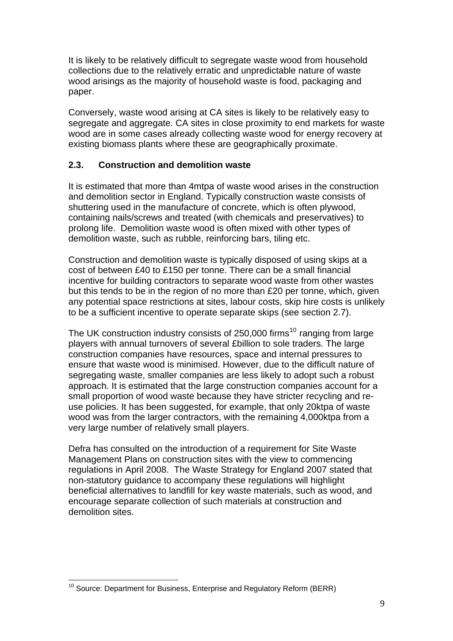It is likely to be relatively difficult to segregate waste wood from household collections due to the relatively erratic and unpredictable nature of waste wood arisings as the majority of household waste is food, packaging and paper.

Conversely, waste wood arising at CA sites is likely to be relatively easy to segregate and aggregate. CA sites in close proximity to end markets for waste wood are in some cases already collecting waste wood for energy recovery at existing biomass plants where these are geographically proximate.

#### **2.3. Construction and demolition waste**

It is estimated that more than 4mtpa of waste wood arises in the construction and demolition sector in England. Typically construction waste consists of shuttering used in the manufacture of concrete, which is often plywood, containing nails/screws and treated (with chemicals and preservatives) to prolong life. Demolition waste wood is often mixed with other types of demolition waste, such as rubble, reinforcing bars, tiling etc.

Construction and demolition waste is typically disposed of using skips at a cost of between £40 to £150 per tonne. There can be a small financial incentive for building contractors to separate wood waste from other wastes but this tends to be in the region of no more than £20 per tonne, which, given any potential space restrictions at sites, labour costs, skip hire costs is unlikely to be a sufficient incentive to operate separate skips (see section 2.7).

The UK construction industry consists of 250,000 firms<sup>[10](#page-9-0)</sup> ranging from large players with annual turnovers of several £billion to sole traders. The large construction companies have resources, space and internal pressures to ensure that waste wood is minimised. However, due to the difficult nature of segregating waste, smaller companies are less likely to adopt such a robust approach. It is estimated that the large construction companies account for a small proportion of wood waste because they have stricter recycling and reuse policies. It has been suggested, for example, that only 20ktpa of waste wood was from the larger contractors, with the remaining 4,000ktpa from a very large number of relatively small players.

Defra has consulted on the introduction of a requirement for Site Waste Management Plans on construction sites with the view to commencing regulations in April 2008. The Waste Strategy for England 2007 stated that non-statutory guidance to accompany these regulations will highlight beneficial alternatives to landfill for key waste materials, such as wood, and encourage separate collection of such materials at construction and demolition sites.

<span id="page-9-0"></span>l  $10$  Source: Department for Business, Enterprise and Regulatory Reform (BERR)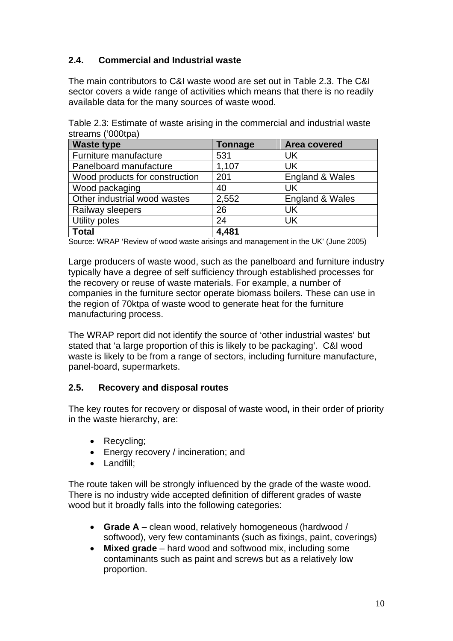## **2.4. Commercial and Industrial waste**

The main contributors to C&I waste wood are set out in Table 2.3. The C&I sector covers a wide range of activities which means that there is no readily available data for the many sources of waste wood.

Table 2.3: Estimate of waste arising in the commercial and industrial waste streams ('000tpa)

| <b>Waste type</b>              | <b>Tonnage</b> | Area covered    |
|--------------------------------|----------------|-----------------|
| Furniture manufacture          | 531            | UK              |
| Panelboard manufacture         | 1,107          | <b>UK</b>       |
| Wood products for construction | 201            | England & Wales |
| Wood packaging                 | 40             | UK              |
| Other industrial wood wastes   | 2,552          | England & Wales |
| Railway sleepers               | 26             | UK              |
| Utility poles                  | 24             | <b>UK</b>       |
| Total                          | 4,481          |                 |

Source: WRAP 'Review of wood waste arisings and management in the UK' (June 2005)

Large producers of waste wood, such as the panelboard and furniture industry typically have a degree of self sufficiency through established processes for the recovery or reuse of waste materials. For example, a number of companies in the furniture sector operate biomass boilers. These can use in the region of 70ktpa of waste wood to generate heat for the furniture manufacturing process.

The WRAP report did not identify the source of 'other industrial wastes' but stated that 'a large proportion of this is likely to be packaging'. C&I wood waste is likely to be from a range of sectors, including furniture manufacture, panel-board, supermarkets.

#### **2.5. Recovery and disposal routes**

The key routes for recovery or disposal of waste wood**,** in their order of priority in the waste hierarchy, are:

- Recycling:
- Energy recovery / incineration; and
- Landfill:

The route taken will be strongly influenced by the grade of the waste wood. There is no industry wide accepted definition of different grades of waste wood but it broadly falls into the following categories:

- **Grade A** clean wood, relatively homogeneous (hardwood / softwood), very few contaminants (such as fixings, paint, coverings)
- **Mixed grade** hard wood and softwood mix, including some contaminants such as paint and screws but as a relatively low proportion.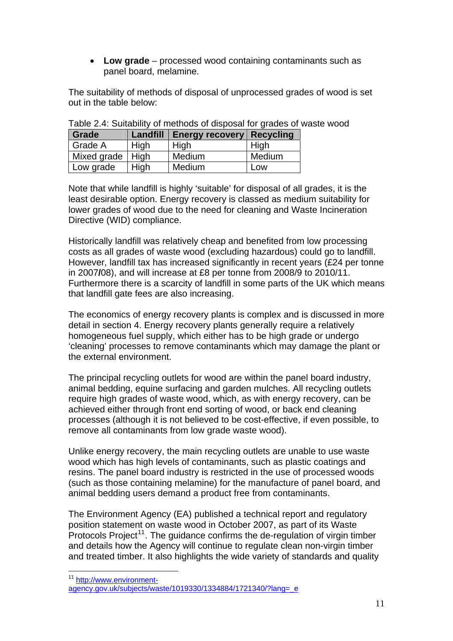• **Low grade** – processed wood containing contaminants such as panel board, melamine.

The suitability of methods of disposal of unprocessed grades of wood is set out in the table below:

| Grade              |      | Landfill   Energy recovery   Recycling |        |
|--------------------|------|----------------------------------------|--------|
| <b>Grade A</b>     | High | High                                   | High   |
| Mixed grade   High |      | Medium                                 | Medium |
| Low grade          | High | Medium                                 | Low    |

Table 2.4: Suitability of methods of disposal for grades of waste wood

Note that while landfill is highly 'suitable' for disposal of all grades, it is the least desirable option. Energy recovery is classed as medium suitability for lower grades of wood due to the need for cleaning and Waste Incineration Directive (WID) compliance.

Historically landfill was relatively cheap and benefited from low processing costs as all grades of waste wood (excluding hazardous) could go to landfill. However, landfill tax has increased significantly in recent years (£24 per tonne in 2007**/**08), and will increase at £8 per tonne from 2008/9 to 2010/11. Furthermore there is a scarcity of landfill in some parts of the UK which means that landfill gate fees are also increasing.

The economics of energy recovery plants is complex and is discussed in more detail in section 4. Energy recovery plants generally require a relatively homogeneous fuel supply, which either has to be high grade or undergo 'cleaning' processes to remove contaminants which may damage the plant or the external environment.

The principal recycling outlets for wood are within the panel board industry, animal bedding, equine surfacing and garden mulches. All recycling outlets require high grades of waste wood, which, as with energy recovery, can be achieved either through front end sorting of wood, or back end cleaning processes (although it is not believed to be cost-effective, if even possible, to remove all contaminants from low grade waste wood).

Unlike energy recovery, the main recycling outlets are unable to use waste wood which has high levels of contaminants, such as plastic coatings and resins. The panel board industry is restricted in the use of processed woods (such as those containing melamine) for the manufacture of panel board, and animal bedding users demand a product free from contaminants.

The Environment Agency (EA) published a technical report and regulatory position statement on waste wood in October 2007, as part of its Waste Protocols Project<sup>[11](#page-11-0)</sup>. The guidance confirms the de-regulation of virgin timber and details how the Agency will continue to regulate clean non-virgin timber and treated timber. It also highlights the wide variety of standards and quality

l

<span id="page-11-0"></span><sup>&</sup>lt;sup>11</sup> [http://www.environment-](http://www.environment-agency.gov.uk/subjects/waste/1019330/1334884/1721340/?lang=_e)

[agency.gov.uk/subjects/waste/1019330/1334884/1721340/?lang=\\_e](http://www.environment-agency.gov.uk/subjects/waste/1019330/1334884/1721340/?lang=_e)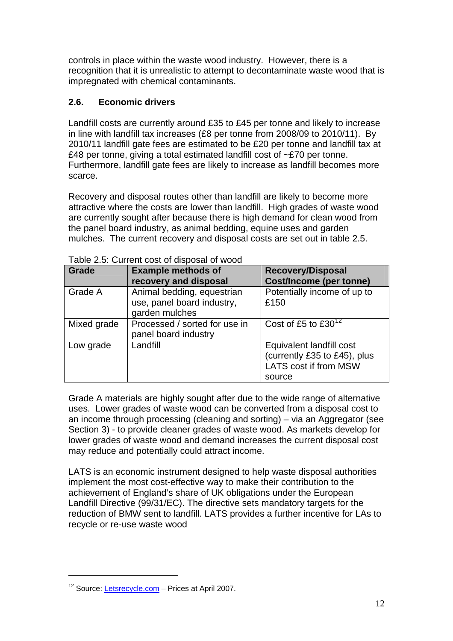controls in place within the waste wood industry. However, there is a recognition that it is unrealistic to attempt to decontaminate waste wood that is impregnated with chemical contaminants.

#### **2.6. Economic drivers**

Landfill costs are currently around £35 to £45 per tonne and likely to increase in line with landfill tax increases (£8 per tonne from 2008/09 to 2010/11). By 2010/11 landfill gate fees are estimated to be £20 per tonne and landfill tax at £48 per tonne, giving a total estimated landfill cost of ~£70 per tonne. Furthermore, landfill gate fees are likely to increase as landfill becomes more scarce.

Recovery and disposal routes other than landfill are likely to become more attractive where the costs are lower than landfill. High grades of waste wood are currently sought after because there is high demand for clean wood from the panel board industry, as animal bedding, equine uses and garden mulches. The current recovery and disposal costs are set out in table 2.5.

| <b>Grade</b> | <b>Example methods of</b><br>recovery and disposal                         | <b>Recovery/Disposal</b><br><b>Cost/Income (per tonne)</b>                                  |
|--------------|----------------------------------------------------------------------------|---------------------------------------------------------------------------------------------|
| Grade A      | Animal bedding, equestrian<br>use, panel board industry,<br>garden mulches | Potentially income of up to<br>£150                                                         |
| Mixed grade  | Processed / sorted for use in<br>panel board industry                      | Cost of £5 to $£30^{12}$                                                                    |
| Low grade    | Landfill                                                                   | Equivalent landfill cost<br>(currently £35 to £45), plus<br>LATS cost if from MSW<br>source |

Table 2.5: Current cost of disposal of wood

Grade A materials are highly sought after due to the wide range of alternative uses. Lower grades of waste wood can be converted from a disposal cost to an income through processing (cleaning and sorting) – via an Aggregator (see Section 3) - to provide cleaner grades of waste wood. As markets develop for lower grades of waste wood and demand increases the current disposal cost may reduce and potentially could attract income.

LATS is an economic instrument designed to help waste disposal authorities implement the most cost-effective way to make their contribution to the achievement of England's share of UK obligations under the European Landfill Directive (99/31/EC). The directive sets mandatory targets for the reduction of BMW sent to landfill. LATS provides a further incentive for LAs to recycle or re-use waste wood

l

<span id="page-12-0"></span><sup>&</sup>lt;sup>12</sup> Source: [Letsrecycle.com](http://www.letsrecycle.com/) – Prices at April 2007.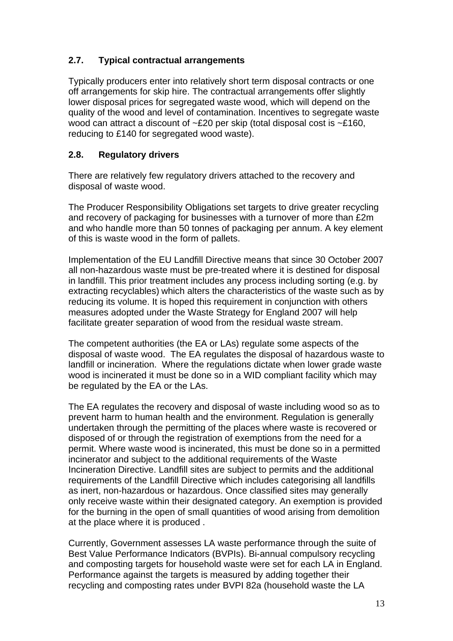## **2.7. Typical contractual arrangements**

Typically producers enter into relatively short term disposal contracts or one off arrangements for skip hire. The contractual arrangements offer slightly lower disposal prices for segregated waste wood, which will depend on the quality of the wood and level of contamination. Incentives to segregate waste wood can attract a discount of ~£20 per skip (total disposal cost is ~£160, reducing to £140 for segregated wood waste).

#### **2.8. Regulatory drivers**

There are relatively few regulatory drivers attached to the recovery and disposal of waste wood.

The Producer Responsibility Obligations set targets to drive greater recycling and recovery of packaging for businesses with a turnover of more than £2m and who handle more than 50 tonnes of packaging per annum. A key element of this is waste wood in the form of pallets.

Implementation of the EU Landfill Directive means that since 30 October 2007 all non-hazardous waste must be pre-treated where it is destined for disposal in landfill. This prior treatment includes any process including sorting (e.g. by extracting recyclables) which alters the characteristics of the waste such as by reducing its volume. It is hoped this requirement in conjunction with others measures adopted under the Waste Strategy for England 2007 will help facilitate greater separation of wood from the residual waste stream.

The competent authorities (the EA or LAs) regulate some aspects of the disposal of waste wood. The EA regulates the disposal of hazardous waste to landfill or incineration. Where the regulations dictate when lower grade waste wood is incinerated it must be done so in a WID compliant facility which may be regulated by the EA or the LAs.

The EA regulates the recovery and disposal of waste including wood so as to prevent harm to human health and the environment. Regulation is generally undertaken through the permitting of the places where waste is recovered or disposed of or through the registration of exemptions from the need for a permit. Where waste wood is incinerated, this must be done so in a permitted incinerator and subject to the additional requirements of the Waste Incineration Directive. Landfill sites are subject to permits and the additional requirements of the Landfill Directive which includes categorising all landfills as inert, non-hazardous or hazardous. Once classified sites may generally only receive waste within their designated category. An exemption is provided for the burning in the open of small quantities of wood arising from demolition at the place where it is produced .

Currently, Government assesses LA waste performance through the suite of Best Value Performance Indicators (BVPIs). Bi-annual compulsory recycling and composting targets for household waste were set for each LA in England. Performance against the targets is measured by adding together their recycling and composting rates under BVPI 82a (household waste the LA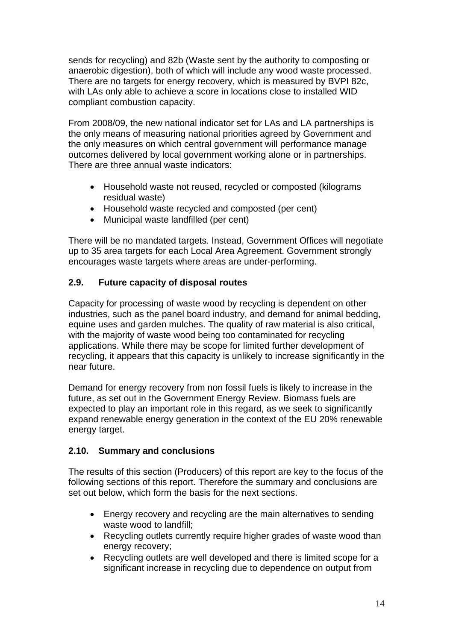sends for recycling) and 82b (Waste sent by the authority to composting or anaerobic digestion), both of which will include any wood waste processed. There are no targets for energy recovery, which is measured by BVPI 82c, with LAs only able to achieve a score in locations close to installed WID compliant combustion capacity.

From 2008/09, the new national indicator set for LAs and LA partnerships is the only means of measuring national priorities agreed by Government and the only measures on which central government will performance manage outcomes delivered by local government working alone or in partnerships. There are three annual waste indicators:

- Household waste not reused, recycled or composted (kilograms residual waste)
- Household waste recycled and composted (per cent)
- Municipal waste landfilled (per cent)

There will be no mandated targets. Instead, Government Offices will negotiate up to 35 area targets for each Local Area Agreement. Government strongly encourages waste targets where areas are under-performing.

#### **2.9. Future capacity of disposal routes**

Capacity for processing of waste wood by recycling is dependent on other industries, such as the panel board industry, and demand for animal bedding, equine uses and garden mulches. The quality of raw material is also critical, with the majority of waste wood being too contaminated for recycling applications. While there may be scope for limited further development of recycling, it appears that this capacity is unlikely to increase significantly in the near future.

Demand for energy recovery from non fossil fuels is likely to increase in the future, as set out in the Government Energy Review. Biomass fuels are expected to play an important role in this regard, as we seek to significantly expand renewable energy generation in the context of the EU 20% renewable energy target.

#### **2.10. Summary and conclusions**

The results of this section (Producers) of this report are key to the focus of the following sections of this report. Therefore the summary and conclusions are set out below, which form the basis for the next sections.

- Energy recovery and recycling are the main alternatives to sending waste wood to landfill;
- Recycling outlets currently require higher grades of waste wood than energy recovery;
- Recycling outlets are well developed and there is limited scope for a significant increase in recycling due to dependence on output from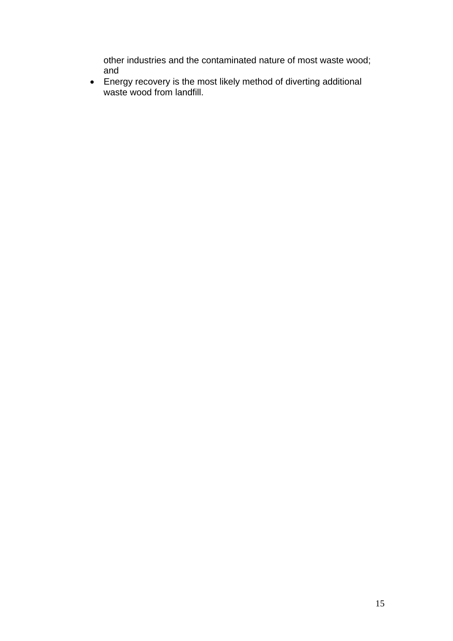other industries and the contaminated nature of most waste wood; and

• Energy recovery is the most likely method of diverting additional waste wood from landfill.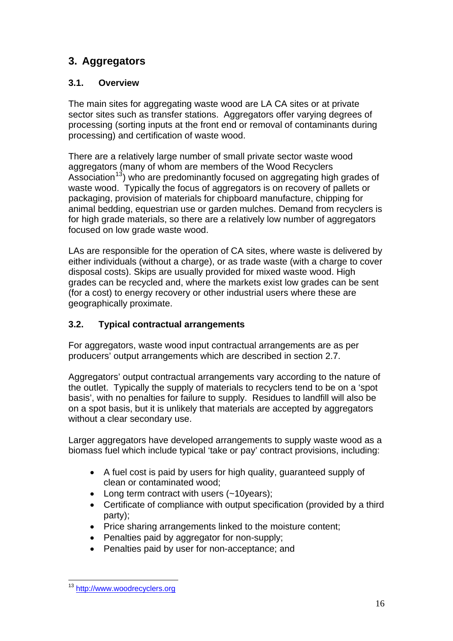# **3. Aggregators**

## **3.1. Overview**

The main sites for aggregating waste wood are LA CA sites or at private sector sites such as transfer stations. Aggregators offer varying degrees of processing (sorting inputs at the front end or removal of contaminants during processing) and certification of waste wood.

There are a relatively large number of small private sector waste wood aggregators (many of whom are members of the Wood Recyclers Association<sup>[13](#page-16-0)</sup>) who are predominantly focused on aggregating high grades of waste wood. Typically the focus of aggregators is on recovery of pallets or packaging, provision of materials for chipboard manufacture, chipping for animal bedding, equestrian use or garden mulches. Demand from recyclers is for high grade materials, so there are a relatively low number of aggregators focused on low grade waste wood.

LAs are responsible for the operation of CA sites, where waste is delivered by either individuals (without a charge), or as trade waste (with a charge to cover disposal costs). Skips are usually provided for mixed waste wood. High grades can be recycled and, where the markets exist low grades can be sent (for a cost) to energy recovery or other industrial users where these are geographically proximate.

## **3.2. Typical contractual arrangements**

For aggregators, waste wood input contractual arrangements are as per producers' output arrangements which are described in section 2.7.

Aggregators' output contractual arrangements vary according to the nature of the outlet. Typically the supply of materials to recyclers tend to be on a 'spot basis', with no penalties for failure to supply. Residues to landfill will also be on a spot basis, but it is unlikely that materials are accepted by aggregators without a clear secondary use.

Larger aggregators have developed arrangements to supply waste wood as a biomass fuel which include typical 'take or pay' contract provisions, including:

- A fuel cost is paid by users for high quality, quaranteed supply of clean or contaminated wood;
- Long term contract with users (~10years);
- Certificate of compliance with output specification (provided by a third party);
- Price sharing arrangements linked to the moisture content;
- Penalties paid by aggregator for non-supply:
- Penalties paid by user for non-acceptance; and

<span id="page-16-0"></span>l <sup>13</sup> http://www.woodrecyclers.org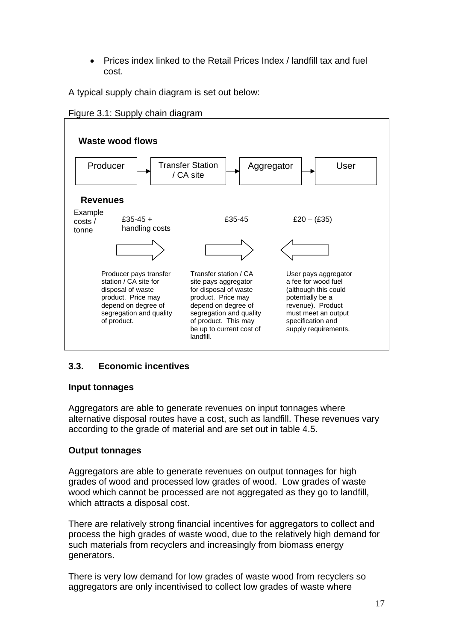• Prices index linked to the Retail Prices Index / landfill tax and fuel cost.

A typical supply chain diagram is set out below:





## **3.3. Economic incentives**

#### **Input tonnages**

Aggregators are able to generate revenues on input tonnages where alternative disposal routes have a cost, such as landfill. These revenues vary according to the grade of material and are set out in table 4.5.

#### **Output tonnages**

Aggregators are able to generate revenues on output tonnages for high grades of wood and processed low grades of wood. Low grades of waste wood which cannot be processed are not aggregated as they go to landfill, which attracts a disposal cost.

There are relatively strong financial incentives for aggregators to collect and process the high grades of waste wood, due to the relatively high demand for such materials from recyclers and increasingly from biomass energy generators.

There is very low demand for low grades of waste wood from recyclers so aggregators are only incentivised to collect low grades of waste where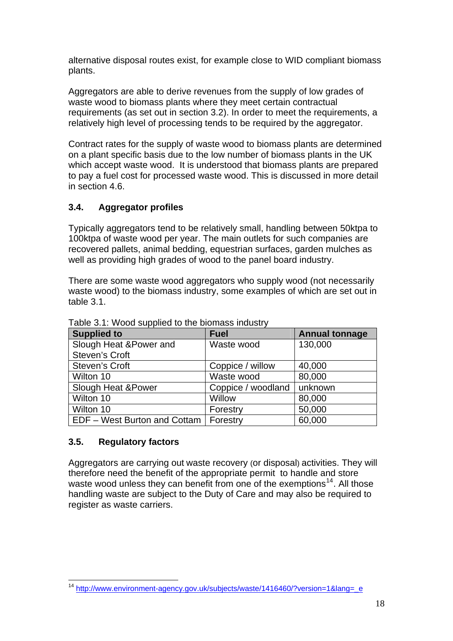alternative disposal routes exist, for example close to WID compliant bioma ss plants.

Aggrega tors are able to derive revenues from the supply of low grades of waste wood to biomass plants where they meet certain contractual requirements (as set out in section 3.2). In order to meet the requirements, a relatively high level of processing tends to be required by the aggregator.

Contract rates for the supply of waste wood to biomass plants are determined on a plant specific basis due to the low number of biomass plants in the UK to pay a fuel cost for processed waste wood. This is discussed in more detail which accept waste wood. It is understood that biomass plants are prepared in section 4.6.

## **3.4.** Aggregator profiles

Typically aggregators tend to be relatively small, handling between 50ktpa to 100ktpa of waste wood per year. The main outlets for such companies are recovered pallets, animal bedding, equestrian surfaces, garden mulches as well as providing high grades of wood to the panel board industry.

There are some waste wood aggregators who supply wood (not necessarily waste wood) to the biomass industry, some examples of which are set out in table 3.1.

| <b>Supplied to</b>            | <b>Fuel</b>        | <b>Annual tonnage</b> |
|-------------------------------|--------------------|-----------------------|
| Slough Heat & Power and       | Waste wood         | 130,000               |
| Steven's Croft                |                    |                       |
| <b>Steven's Croft</b>         | Coppice / willow   | 40,000                |
| Wilton 10                     | Waste wood         | 80,000                |
| <b>Slough Heat &amp;Power</b> | Coppice / woodland | unknown               |
| Wilton 10                     | Willow             | 80,000                |
| Wilton 10                     | Forestry           | 50,000                |
| EDF - West Burton and Cottam  | Forestry           | 60,000                |

Table 3.1: Wood supplied to the biomass industry

#### **3 .5. Regulatory factors**

Aggregators are carrying out waste recovery (or disposal) activities. They will therefore need the benefit of the appropriate permit to handle and store handling waste are subject to the Duty of Care and may also be required to waste wood unless they can benefit from one of the exemptions<sup>[14](#page-18-0)</sup>. All those register as waste carriers.

<span id="page-18-0"></span>l <sup>14</sup> [http://www.environment-agency.gov.uk/subjects/waste/1416460/?version=1&lang=\\_e](http://www.environment-agency.gov.uk/subjects/waste/1416460/?version=1&lang=_e)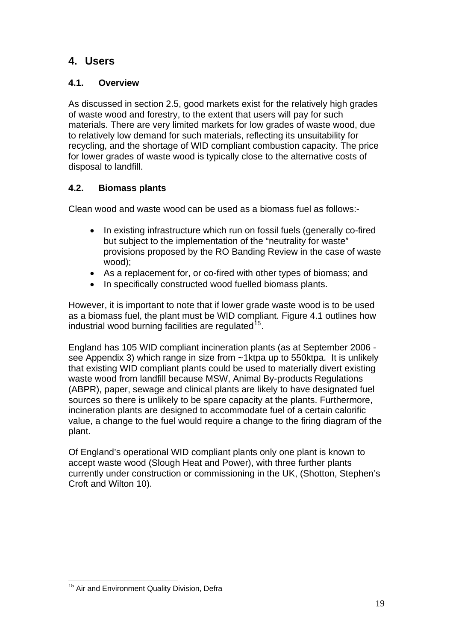## **4. Users**

## **4.1. Overview**

As discussed in section 2.5, good markets exist for the relatively high grades of waste wood and forestry, to the extent that users will pay for such materials. There are very limited markets for low grades of waste wood, due to relatively low demand for such materials, reflecting its unsuitability for recycling, and the shortage of WID compliant combustion capacity. The price for lower grades of waste wood is typically close to the alternative costs of disposal to landfill.

## **4.2. Biomass plants**

Clean wood and waste wood can be used as a biomass fuel as follows:-

- In existing infrastructure which run on fossil fuels (generally co-fired but subject to the implementation of the "neutrality for waste" provisions proposed by the RO Banding Review in the case of waste wood);
- As a replacement for, or co-fired with other types of biomass; and
- In specifically constructed wood fuelled biomass plants.

However, it is important to note that if lower grade waste wood is to be used as a biomass fuel, the plant must be WID compliant. Figure 4.1 outlines how industrial wood burning facilities are regulated  $15$ .

England has 105 WID compliant incineration plants (as at September 2006 see Appendix 3) which range in size from ~1ktpa up to 550ktpa. It is unlikely that existing WID compliant plants could be used to materially divert existing waste wood from landfill because MSW, Animal By-products Regulations (ABPR), paper, sewage and clinical plants are likely to have designated fuel sources so there is unlikely to be spare capacity at the plants. Furthermore, incineration plants are designed to accommodate fuel of a certain calorific value, a change to the fuel would require a change to the firing diagram of the plant.

Of England's operational WID compliant plants only one plant is known to accept waste wood (Slough Heat and Power), with three further plants currently under construction or commissioning in the UK, (Shotton, Stephen's Croft and Wilton 10).

<span id="page-19-0"></span>l <sup>15</sup> Air and Environment Quality Division, Defra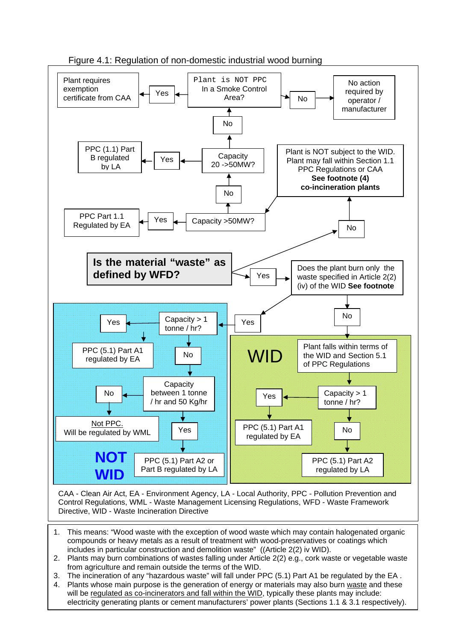

Figure 4.1: Regulation of non-domestic industrial wood burning

CAA - Clean Air Act, EA - Environment Agency, LA - Local Authority, PPC - Pollution Prevention and Control Regulations, WML - Waste Management Licensing Regulations, WFD - Waste Framework Directive, WID - Waste Incineration Directive

- 1. This means: "Wood waste with the exception of wood waste which may contain halogenated organic compounds or heavy metals as a result of treatment with wood-preservatives or coatings which includes in particular construction and demolition waste" ((Article 2(2) iv WID).
- 2. Plants may burn combinations of wastes falling under Article 2(2) e.g., cork waste or vegetable waste from agriculture and remain outside the terms of the WID.
- 3. The incineration of any "hazardous waste" will fall under PPC (5.1) Part A1 be regulated by the EA .<br>4. Plante whose main numeres is the generation of answer at materials may also hum waste and these
- 20 electricity generating plants or cement manufacturers' power plants (Sections 1.1 & 3.1 respectively). 4. Plants whose main purpose is the generation of energy or materials may also burn waste and these will be regulated as co-incinerators and fall within the WID, typically these plants may include: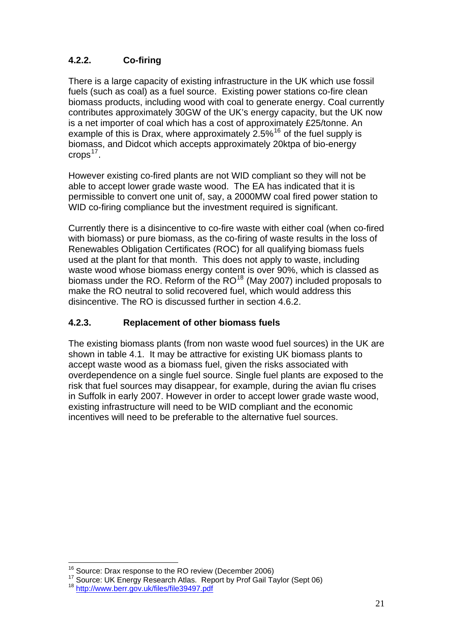## **4.2.2. Co-firing**

There is a large capacity of existing infrastructure in the UK which use fossil fuels (such as coal) as a fuel source. Existing power stations co-fire clean biomass products, including wood with coal to generate energy. Coal currently contributes approximately 30GW of the UK's energy capacity, but the UK now is a net importer of coal which has a cost of approximately £25/tonne. An example of this is Drax, where approximately  $2.5\%$ <sup>[16](#page-21-0)</sup> of the fuel supply is biomass, and Didcot which accepts approximately 20ktpa of bio-energy crops $17$ .

However existing co-fired plants are not WID compliant so they will not be able to accept lower grade waste wood. The EA has indicated that it is permissible to convert one unit of, say, a 2000MW coal fired power station to WID co-firing compliance but the investment required is significant.

Currently there is a disincentive to co-fire waste with either coal (when co-fired with biomass) or pure biomass, as the co-firing of waste results in the loss of Renewables Obligation Certificates (ROC) for all qualifying biomass fuels used at the plant for that month. This does not apply to waste, including waste wood whose biomass energy content is over 90%, which is classed as biomass under the RO. Reform of the  $RO^{18}$  $RO^{18}$  $RO^{18}$  (May 2007) included proposals to make the RO neutral to solid recovered fuel, which would address this disincentive. The RO is discussed further in section 4.6.2.

## **4.2.3. Replacement of other biomass fuels**

The existing biomass plants (from non waste wood fuel sources) in the UK are shown in table 4.1. It may be attractive for existing UK biomass plants to accept waste wood as a biomass fuel, given the risks associated with overdependence on a single fuel source. Single fuel plants are exposed to the risk that fuel sources may disappear, for example, during the avian flu crises in Suffolk in early 2007. However in order to accept lower grade waste wood, existing infrastructure will need to be WID compliant and the economic incentives will need to be preferable to the alternative fuel sources.

l

<span id="page-21-2"></span><span id="page-21-1"></span><span id="page-21-0"></span><sup>&</sup>lt;sup>16</sup> Source: Drax response to the RO review (December 2006)<br><sup>17</sup> Source: UK Energy Research Atlas. Report by Prof Gail Taylor (Sept 06) <sup>18</sup> http://www.berr.gov.uk/files/file39497.pdf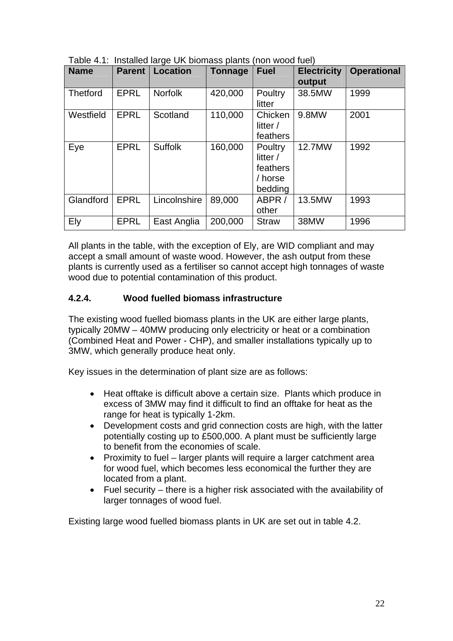| <b>Name</b>     | <b>Parent</b> | <b>Location</b> | <b>Tonnage</b> | <b>Fuel</b>                                           | <b>Electricity</b> | <b>Operational</b> |
|-----------------|---------------|-----------------|----------------|-------------------------------------------------------|--------------------|--------------------|
|                 |               |                 |                |                                                       | output             |                    |
| <b>Thetford</b> | <b>EPRL</b>   | <b>Norfolk</b>  | 420,000        | Poultry<br>litter                                     | 38.5MW             | 1999               |
| Westfield       | <b>EPRL</b>   | Scotland        | 110,000        | Chicken<br>litter /<br>feathers                       | 9.8MW              | 2001               |
| Eye             | <b>EPRL</b>   | <b>Suffolk</b>  | 160,000        | Poultry<br>litter /<br>feathers<br>/ horse<br>bedding | 12.7MW             | 1992               |
| Glandford       | <b>EPRL</b>   | Lincolnshire    | 89,000         | ABPR /<br>other                                       | 13.5MW             | 1993               |
| Ely             | <b>EPRL</b>   | East Anglia     | 200,000        | <b>Straw</b>                                          | 38MW               | 1996               |

 $Table 4.1:$  Installed large UK biomass plants (non wood fuel)

All plants in the table, with the exception of Ely, are WID compliant and may accept a small amount of waste wood. However, the ash output from these plants is currently used as a fertiliser so cannot accept high tonnages of waste wood due to potential contamination of this product.

#### **4.2.4. Wood fuelled biomass infrastructure**

The existing wood fuelled biomass plants in the UK are either large plants, typically 20MW – 40MW producing only electricity or heat or a combination (Combined Heat and Power - CHP), and smaller installations typically up to 3MW, which generally produce heat only.

Key issues in the determination of plant size are as follows:

- Heat offtake is difficult above a certain size. Plants which produce in excess of 3MW may find it difficult to find an offtake for heat as the range for heat is typically 1-2km.
- Development costs and grid connection costs are high, with the latter potentially costing up to £500,000. A plant must be sufficiently large to benefit from the economies of scale.
- Proximity to fuel larger plants will require a larger catchment area for wood fuel, which becomes less economical the further they are located from a plant.
- Fuel security there is a higher risk associated with the availability of larger tonnages of wood fuel.

Existing large wood fuelled biomass plants in UK are set out in table 4.2.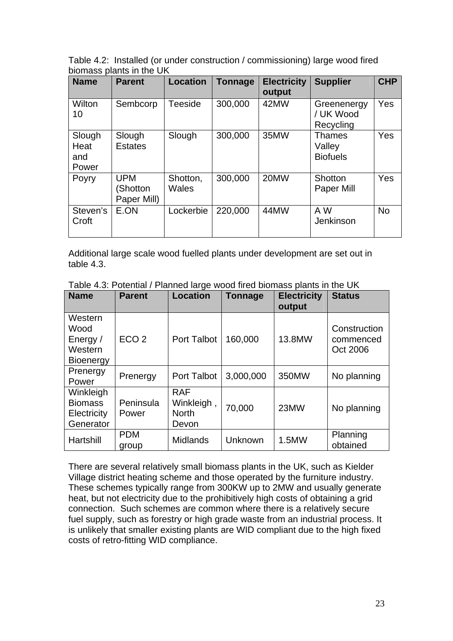Table 4.2: Installed (or under construction / commissioning) large wood fired biomass plants in the UK

| <b>Name</b>                    | <b>Parent</b>                         | <b>Location</b>          | <b>Tonnage</b> | <b>Electricity</b><br>output | <b>Supplier</b>                            | <b>CHP</b> |
|--------------------------------|---------------------------------------|--------------------------|----------------|------------------------------|--------------------------------------------|------------|
| Wilton<br>10                   | Sembcorp                              | Teeside                  | 300,000        | 42MW                         | Greenenergy<br>/ UK Wood<br>Recycling      | Yes        |
| Slough<br>Heat<br>and<br>Power | Slough<br><b>Estates</b>              | Slough                   | 300,000        | 35MW                         | <b>Thames</b><br>Valley<br><b>Biofuels</b> | Yes        |
| Poyry                          | <b>UPM</b><br>(Shotton<br>Paper Mill) | Shotton,<br><b>Wales</b> | 300,000        | 20MW                         | Shotton<br>Paper Mill                      | Yes        |
| Steven's<br>Croft              | E.ON                                  | Lockerbie                | 220,000        | 44MW                         | A W<br>Jenkinson                           | <b>No</b>  |

Additional large scale wood fuelled plants under development are set out in table 4.3.

| <b>Name</b>                                                | <b>Parent</b>       | <b>Location</b>                                  | <b>Tonnage</b> | <b>Electricity</b> | <b>Status</b>                         |
|------------------------------------------------------------|---------------------|--------------------------------------------------|----------------|--------------------|---------------------------------------|
|                                                            |                     |                                                  |                | output             |                                       |
| Western<br>Wood<br>Energy /<br>Western<br><b>Bioenergy</b> | ECO <sub>2</sub>    | Port Talbot                                      | 160,000        | 13.8MW             | Construction<br>commenced<br>Oct 2006 |
| Prenergy<br>Power                                          | Prenergy            | Port Talbot                                      | 3,000,000      | 350MW              | No planning                           |
| Winkleigh<br><b>Biomass</b><br>Electricity<br>Generator    | Peninsula<br>Power  | <b>RAF</b><br>Winkleigh<br><b>North</b><br>Devon | 70,000         | 23MW               | No planning                           |
| Hartshill                                                  | <b>PDM</b><br>group | <b>Midlands</b>                                  | Unknown        | 1.5MW              | Planning<br>obtained                  |

Table 4.3: Potential / Planned large wood fired biomass plants in the UK

There are several relatively small biomass plants in the UK, such as Kielder Village district heating scheme and those operated by the furniture industry. These schemes typically range from 300KW up to 2MW and usually generate heat, but not electricity due to the prohibitively high costs of obtaining a grid connection. Such schemes are common where there is a relatively secure fuel supply, such as forestry or high grade waste from an industrial process. It is unlikely that smaller existing plants are WID compliant due to the high fixed costs of retro-fitting WID compliance.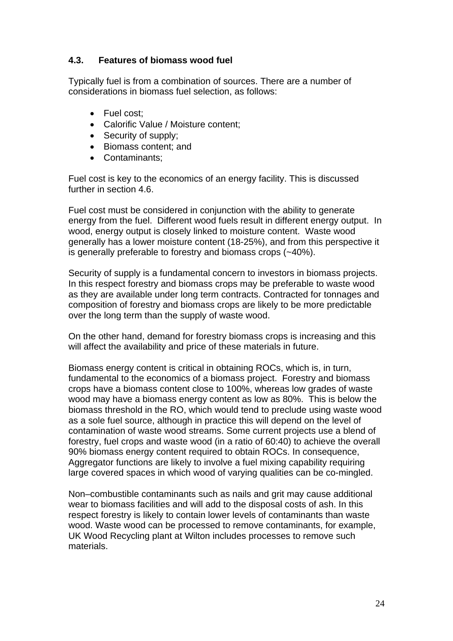#### **4.3. Features of biomass wood fuel**

Typically fuel is from a combination of sources. There are a number of considerations in biomass fuel selection, as follows:

- Fuel cost;
- Calorific Value / Moisture content;
- Security of supply;
- Biomass content; and
- Contaminants;

Fuel cost is key to the economics of an energy facility. This is discussed further in section 4.6.

Fuel cost must be considered in conjunction with the ability to generate energy from the fuel. Different wood fuels result in different energy output. In wood, energy output is closely linked to moisture content. Waste wood generally has a lower moisture content (18-25%), and from this perspective it is generally preferable to forestry and biomass crops (~40%).

Security of supply is a fundamental concern to investors in biomass projects. In this respect forestry and biomass crops may be preferable to waste wood as they are available under long term contracts. Contracted for tonnages and composition of forestry and biomass crops are likely to be more predictable over the long term than the supply of waste wood.

On the other hand, demand for forestry biomass crops is increasing and this will affect the availability and price of these materials in future.

Biomass energy content is critical in obtaining ROCs, which is, in turn, fundamental to the economics of a biomass project. Forestry and biomass crops have a biomass content close to 100%, whereas low grades of waste wood may have a biomass energy content as low as 80%. This is below the biomass threshold in the RO, which would tend to preclude using waste wood as a sole fuel source, although in practice this will depend on the level of contamination of waste wood streams. Some current projects use a blend of forestry, fuel crops and waste wood (in a ratio of 60:40) to achieve the overall 90% biomass energy content required to obtain ROCs. In consequence, Aggregator functions are likely to involve a fuel mixing capability requiring large covered spaces in which wood of varying qualities can be co-mingled.

Non–combustible contaminants such as nails and grit may cause additional wear to biomass facilities and will add to the disposal costs of ash. In this respect forestry is likely to contain lower levels of contaminants than waste wood. Waste wood can be processed to remove contaminants, for example, UK Wood Recycling plant at Wilton includes processes to remove such materials.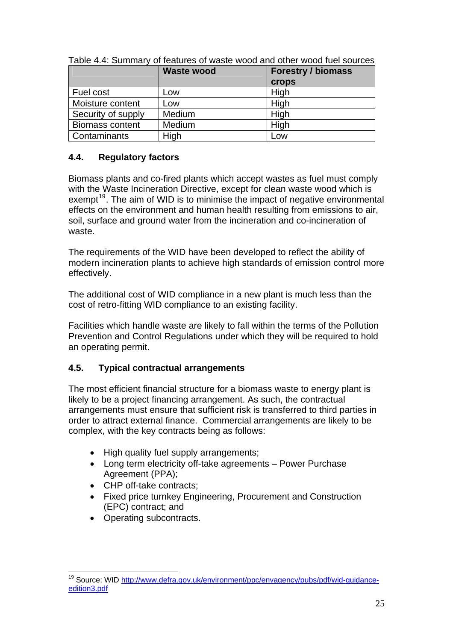|                        | <b>Waste wood</b> | <b>Forestry / biomass</b> |
|------------------------|-------------------|---------------------------|
|                        |                   | <b>crops</b>              |
| Fuel cost              | Low               | High                      |
| Moisture content       | Low               | High                      |
| Security of supply     | Medium            | High                      |
| <b>Biomass content</b> | Medium            | High                      |
| Contaminants           | High              | Low                       |

Table 4.4: Summary of features of waste wood and other wood fuel sources

#### **4.4. Regulatory factors**

Biomass plants and co-fired plants which accept wastes as fuel must comply with the Waste Incineration Directive, except for clean waste wood which is exempt<sup>[19](#page-25-0)</sup>. The aim of WID is to minimise the impact of negative environmental effects on the environment and human health resulting from emissions to air, soil, surface and ground water from the incineration and co-incineration of waste.

The requirements of the WID have been developed to reflect the ability of modern incineration plants to achieve high standards of emission control more effectively.

The additional cost of WID compliance in a new plant is much less than the cost of retro-fitting WID compliance to an existing facility.

Facilities which handle waste are likely to fall within the terms of the Pollution Prevention and Control Regulations under which they will be required to hold an operating permit.

## **4.5. Typical contractual arrangements**

The most efficient financial structure for a biomass waste to energy plant is likely to be a project financing arrangement. As such, the contractual arrangements must ensure that sufficient risk is transferred to third parties in order to attract external finance. Commercial arrangements are likely to be complex, with the key contracts being as follows:

- High quality fuel supply arrangements;
- Long term electricity off-take agreements Power Purchase Agreement (PPA);
- CHP off-take contracts;
- Fixed price turnkey Engineering, Procurement and Construction (EPC) contract; and
- Operating subcontracts.

l

<span id="page-25-0"></span><sup>&</sup>lt;sup>19</sup> Source: WID [http://www.defra.gov.uk/environment/ppc/envagency/pubs/pdf/wid-guidance](http://www.defra.gov.uk/environment/ppc/envagency/pubs/pdf/wid-guidance-edition3.pdf)[edition3.pdf](http://www.defra.gov.uk/environment/ppc/envagency/pubs/pdf/wid-guidance-edition3.pdf)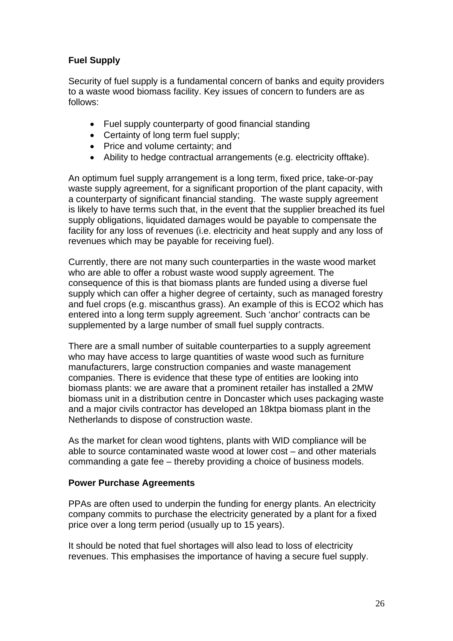#### **Fuel Supply**

Security of fuel supply is a fundamental concern of banks and equity providers to a waste wood biomass facility. Key issues of concern to funders are as follows:

- Fuel supply counterparty of good financial standing
- Certainty of long term fuel supply;
- Price and volume certainty; and
- Ability to hedge contractual arrangements (e.g. electricity offtake).

An optimum fuel supply arrangement is a long term, fixed price, take-or-pay waste supply agreement, for a significant proportion of the plant capacity, with a counterparty of significant financial standing. The waste supply agreement is likely to have terms such that, in the event that the supplier breached its fuel supply obligations, liquidated damages would be payable to compensate the facility for any loss of revenues (i.e. electricity and heat supply and any loss of revenues which may be payable for receiving fuel).

Currently, there are not many such counterparties in the waste wood market who are able to offer a robust waste wood supply agreement. The consequence of this is that biomass plants are funded using a diverse fuel supply which can offer a higher degree of certainty, such as managed forestry and fuel crops (e.g. miscanthus grass). An example of this is ECO2 which has entered into a long term supply agreement. Such 'anchor' contracts can be supplemented by a large number of small fuel supply contracts.

There are a small number of suitable counterparties to a supply agreement who may have access to large quantities of waste wood such as furniture manufacturers, large construction companies and waste management companies. There is evidence that these type of entities are looking into biomass plants: we are aware that a prominent retailer has installed a 2MW biomass unit in a distribution centre in Doncaster which uses packaging waste and a major civils contractor has developed an 18ktpa biomass plant in the Netherlands to dispose of construction waste.

As the market for clean wood tightens, plants with WID compliance will be able to source contaminated waste wood at lower cost – and other materials commanding a gate fee – thereby providing a choice of business models.

#### **Power Purchase Agreements**

PPAs are often used to underpin the funding for energy plants. An electricity company commits to purchase the electricity generated by a plant for a fixed price over a long term period (usually up to 15 years).

It should be noted that fuel shortages will also lead to loss of electricity revenues. This emphasises the importance of having a secure fuel supply.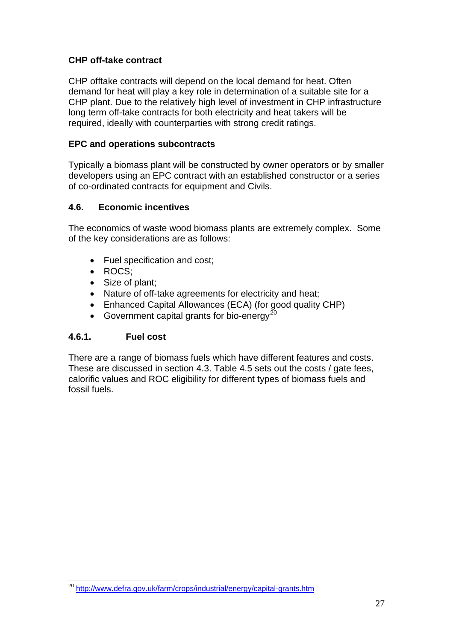#### **CHP off-take contract**

CHP offtake contracts will depend on the local demand for heat. Often demand for heat will play a key role in determination of a suitable site for a CHP plant. Due to the relatively high level of investment in CHP infrastructure long term off-take contracts for both electricity and heat takers will be required, ideally with counterparties with strong credit ratings.

#### **EPC and operations subcontracts**

Typically a biomass plant will be constructed by owner operators or by smaller developers using an EPC contract with an established constructor or a series of co-ordinated contracts for equipment and Civils.

#### **4.6. Economic incentives**

The economics of waste wood biomass plants are extremely complex. Some of the key considerations are as follows:

- Fuel specification and cost;
- ROCS:
- Size of plant;
- Nature of off-take agreements for electricity and heat;
- Enhanced Capital Allowances (ECA) (for good quality CHP)
- Government capital grants for bio-energy<sup>[20](#page-27-0)</sup>

#### **4.6.1. Fuel cost**

l

There are a range of biomass fuels which have different features and costs. These are discussed in section 4.3. Table 4.5 sets out the costs / gate fees, calorific values and ROC eligibility for different types of biomass fuels and fossil fuels.

<span id="page-27-0"></span><sup>&</sup>lt;sup>20</sup> http://www.defra.gov.uk/farm/crops/industrial/energy/capital-grants.htm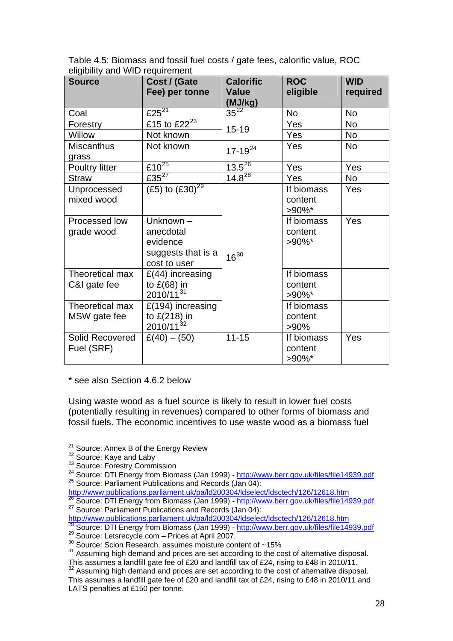| <b>Source</b>                   | Cost / (Gate<br>Fee) per tonne                                           | <b>Calorific</b><br><b>Value</b><br>(MJ/kg) | <b>ROC</b><br>eligible             | <b>WID</b><br>required |
|---------------------------------|--------------------------------------------------------------------------|---------------------------------------------|------------------------------------|------------------------|
| Coal                            | £25 $21$                                                                 | $35^{22}$                                   | <b>No</b>                          | <b>No</b>              |
| Forestry                        | £15 to $\overline{E22^{23}}$                                             | $15 - 19$                                   | Yes                                | <b>No</b>              |
| Willow                          | Not known                                                                |                                             | Yes                                | <b>No</b>              |
| <b>Miscanthus</b><br>grass      | Not known                                                                | $17 - 19^{24}$                              | Yes                                | <b>No</b>              |
| Poultry litter                  | £10 $25$                                                                 | $13.5^{26}$                                 | Yes                                | Yes                    |
| <b>Straw</b>                    | £35 $^{27}$                                                              | $14.8^{28}$                                 | <b>Yes</b>                         | No                     |
| Unprocessed<br>mixed wood       | (£5) to $(E30)^{29}$                                                     |                                             | If biomass<br>content<br>$>90\%$ * | Yes                    |
| Processed low<br>grade wood     | Unknown -<br>anecdotal<br>evidence<br>suggests that is a<br>cost to user | $16^{30}$                                   | If biomass<br>content<br>$>90\%$ * | Yes                    |
| Theoretical max<br>C&I gate fee | $£(44)$ increasing<br>to $E(68)$ in<br>$2010/11^{31}$                    |                                             | If biomass<br>content<br>>90%*     |                        |
| Theoretical max<br>MSW gate fee | $£(194)$ increasing<br>to $E(218)$ in<br>$2010/11^{32}$                  |                                             | If biomass<br>content<br>>90%      |                        |
| Solid Recovered<br>Fuel (SRF)   | $£(40) - (50)$                                                           | $11 - 15$                                   | If biomass<br>content<br>$>90\%$ * | Yes                    |

Table 4.5: Biomass and fossil fuel costs / gate fees, calorific value, ROC eligibility and WID requirement

\* see also Section 4.6.2 below

Using waste wood as a fuel source is likely to result in lower fuel costs (potentially resulting in revenues) compared to other forms of biomass and fossil fuels. The economic incentives to use waste wood as a biomass fuel

<span id="page-28-4"></span><span id="page-28-3"></span><http://www.publications.parliament.uk/pa/ld200304/ldselect/ldsctech/126/12618.htm>

<sup>&</sup>lt;sup>21</sup> Source: Annex B of the Energy Review

<span id="page-28-2"></span>

<span id="page-28-1"></span><span id="page-28-0"></span><sup>22</sup> Source: Kaye and Laby<br>
23 Source: Kaye and Laby<br>
<sup>23</sup> Source: Forestry Commission<br>
<sup>24</sup> Source: DTI Energy from Biomass (Jan 1999) -<http://www.berr.gov.uk/files/file14939.pdf><br>
<sup>25</sup> Source: Parliament Publications and R

<span id="page-28-6"></span><span id="page-28-5"></span> $\frac{26}{26}$  Source: DTI Energy from Biomass (Jan 1999) -<http://www.berr.gov.uk/files/file14939.pdf>  $\frac{27}{27}$  Source: Parliament Publications and Records (Jan 04):

<http://www.publications.parliament.uk/pa/ld200304/ldselect/ldsctech/126/12618.htm>

<span id="page-28-7"></span><sup>&</sup>lt;sup>28</sup> Source: DTI Energy from Biomass (Jan 1999) - <u>http://www.berr.gov.uk/files/file14939.pdf</u><br><sup>29</sup> Source: Letsrecycle.com – Prices at April 2007.<br><sup>30</sup> Source: Scion Research, assumes moisture content of ~15%

<span id="page-28-10"></span><span id="page-28-9"></span><span id="page-28-8"></span><sup>&</sup>lt;sup>30</sup> Source: Scion Research, assumes moisture content of ~15%<br><sup>31</sup> Assuming high demand and prices are set according to the cost of alternative disposal.<br>This assumes a landfill gate fee of £20 and landfill tax of £24, ri

<span id="page-28-11"></span>This assumes a landing gate fee of £20 and landing tax of £24, rising to £48 in 2010. This assumes a landfill gate fee of £20 and landfill tax of £24, rising to £48 in 2010/11 and LATS penalties at £150 per tonne.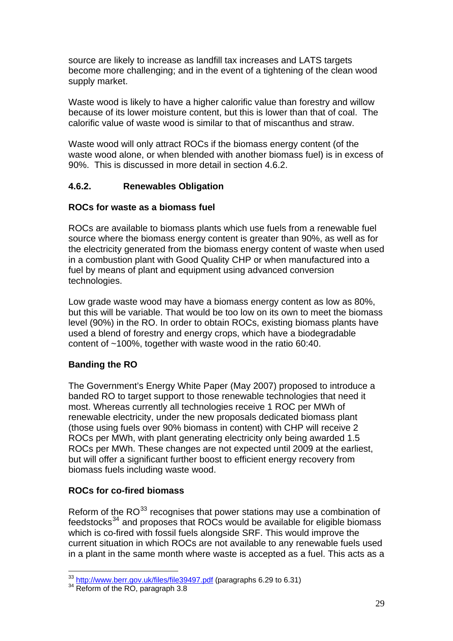source are likely to increase as landfill tax increases and LATS targets become more challenging; and in the event of a tightening of the clean wood supply market.

Waste wood is likely to have a higher calorific value than forestry and willow because of its lower moisture content, but this is lower than that of coal. The calorific value of waste wood is similar to that of miscanthus and straw.

Waste wood will only attract ROCs if the biomass energy content (of the waste wood alone, or when blended with another biomass fuel) is in excess of 90%. This is discussed in more detail in section 4.6.2.

#### **4.6.2. Renewables Obligation**

#### **ROCs for waste as a biomass fuel**

ROCs are available to biomass plants which use fuels from a renewable fuel source where the biomass energy content is greater than 90%, as well as for the electricity generated from the biomass energy content of waste when used in a combustion plant with Good Quality CHP or when manufactured into a fuel by means of plant and equipment using advanced conversion technologies.

Low grade waste wood may have a biomass energy content as low as 80%, but this will be variable. That would be too low on its own to meet the biomass level (90%) in the RO. In order to obtain ROCs, existing biomass plants have used a blend of forestry and energy crops, which have a biodegradable content of ~100%, together with waste wood in the ratio 60:40.

#### **Banding the RO**

The Government's Energy White Paper (May 2007) proposed to introduce a banded RO to target support to those renewable technologies that need it most. Whereas currently all technologies receive 1 ROC per MWh of renewable electricity, under the new proposals dedicated biomass plant (those using fuels over 90% biomass in content) with CHP will receive 2 ROCs per MWh, with plant generating electricity only being awarded 1.5 ROCs per MWh. These changes are not expected until 2009 at the earliest, but will offer a significant further boost to efficient energy recovery from biomass fuels including waste wood.

#### **ROCs for co-fired biomass**

Reform of the  $RO^{33}$  $RO^{33}$  $RO^{33}$  recognises that power stations may use a combination of  $f$ eedstocks<sup>[34](#page-29-1)</sup> and proposes that ROCs would be available for eligible biomass which is co-fired with fossil fuels alongside SRF. This would improve the current situation in which ROCs are not available to any renewable fuels used in a plant in the same month where waste is accepted as a fuel. This acts as a

l

<span id="page-29-0"></span><sup>&</sup>lt;sup>33</sup> <http://www.berr.gov.uk/files/file39497.pdf>(paragraphs 6.29 to 6.31)<br><sup>34</sup> Reform of the RO, paragraph 3.8

<span id="page-29-1"></span>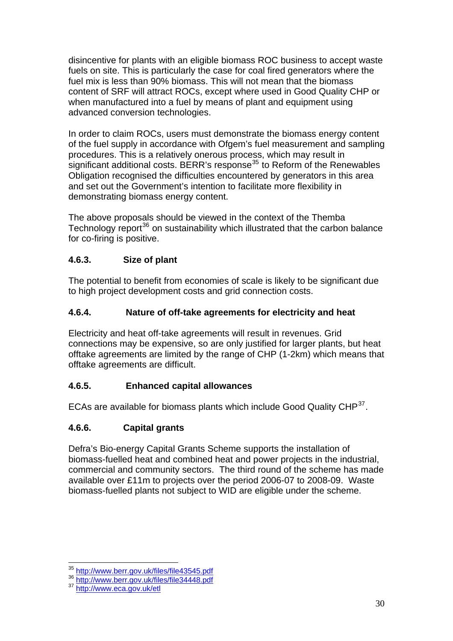disincentive for plants with an eligible biomass ROC business to accept waste fuels on site. This is particularly the case for coal fired generators where the fuel mix is less than 90% biomass. This will not mean that the biomass content of SRF will attract ROCs, except where used in Good Quality CHP or when manufactured into a fuel by means of plant and equipment using advanced conversion technologies.

In order to claim ROCs, users must demonstrate the biomass energy content of the fuel supply in accordance with Ofgem's fuel measurement and sampling procedures. This is a relatively onerous process, which may result in significant additional costs. BERR's response<sup>[35](#page-30-0)</sup> to Reform of the Renewables Obligation recognised the difficulties encountered by generators in this area and set out the Government's intention to facilitate more flexibility in demonstrating biomass energy content.

The above proposals should be viewed in the context of the Themba Technology report<sup>[36](#page-30-1)</sup> on sustainability which illustrated that the carbon balance for co-firing is positive.

## **4.6.3. Size of plant**

The potential to benefit from economies of scale is likely to be significant due to high project development costs and grid connection costs.

## **4.6.4. Nature of off-take agreements for electricity and heat**

Electricity and heat off-take agreements will result in revenues. Grid connections may be expensive, so are only justified for larger plants, but heat offtake agreements are limited by the range of CHP (1-2km) which means that offtake agreements are difficult.

## **4.6.5. Enhanced capital allowances**

ECAs are available for biomass plants which include Good Quality CHP<sup>[37](#page-30-2)</sup>.

## **4.6.6. Capital grants**

Defra's Bio-energy Capital Grants Scheme supports the installation of biomass-fuelled heat and combined heat and power projects in the industrial, commercial and community sectors. The third round of the scheme has made available over £11m to projects over the period 2006-07 to 2008-09. Waste biomass-fuelled plants not subject to WID are eligible under the scheme.

l

<span id="page-30-1"></span><span id="page-30-0"></span><sup>35</sup> <http://www.berr.gov.uk/files/file43545.pdf> <sup>36</sup> <http://www.berr.gov.uk/files/file34448.pdf> <sup>37</sup> <http://www.eca.gov.uk/etl>

<span id="page-30-2"></span>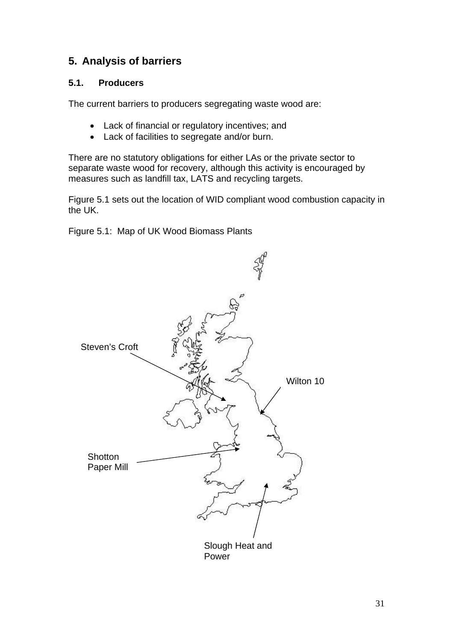## **5. Analysis of barriers**

#### **5.1. Producers**

The current barriers to producers segregating waste wood are:

- Lack of financial or regulatory incentives; and
- Lack of facilities to segregate and/or burn.

There are no statutory obligations for either LAs or the private sector to separate waste wood for recovery, although this activity is encouraged by measures such as landfill tax, LATS and recycling targets.

Figure 5.1 sets out the location of WID compliant wood combustion capacity in the UK.

Figure 5.1: Map of UK Wood Biomass Plants

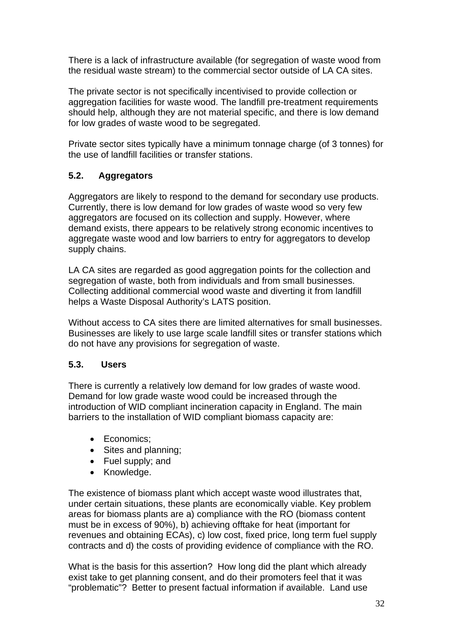There is a lack of infrastructure available (for segregation of waste wood from the residual waste stream) to the commercial sector outside of LA CA sites.

The private sector is not specifically incentivised to provide collection or aggregation facilities for waste wood. The landfill pre-treatment requirements should help, although they are not material specific, and there is low demand for low grades of waste wood to be segregated.

Private sector sites typically have a minimum tonnage charge (of 3 tonnes) for the use of landfill facilities or transfer stations.

## **5.2. Aggregators**

Aggregators are likely to respond to the demand for secondary use products. Currently, there is low demand for low grades of waste wood so very few aggregators are focused on its collection and supply. However, where demand exists, there appears to be relatively strong economic incentives to aggregate waste wood and low barriers to entry for aggregators to develop supply chains.

LA CA sites are regarded as good aggregation points for the collection and segregation of waste, both from individuals and from small businesses. Collecting additional commercial wood waste and diverting it from landfill helps a Waste Disposal Authority's LATS position.

Without access to CA sites there are limited alternatives for small businesses. Businesses are likely to use large scale landfill sites or transfer stations which do not have any provisions for segregation of waste.

#### **5.3. Users**

There is currently a relatively low demand for low grades of waste wood. Demand for low grade waste wood could be increased through the introduction of WID compliant incineration capacity in England. The main barriers to the installation of WID compliant biomass capacity are:

- Economics:
- Sites and planning;
- Fuel supply; and
- Knowledge.

The existence of biomass plant which accept waste wood illustrates that, under certain situations, these plants are economically viable. Key problem areas for biomass plants are a) compliance with the RO (biomass content must be in excess of 90%), b) achieving offtake for heat (important for revenues and obtaining ECAs), c) low cost, fixed price, long term fuel supply contracts and d) the costs of providing evidence of compliance with the RO.

What is the basis for this assertion? How long did the plant which already exist take to get planning consent, and do their promoters feel that it was "problematic"? Better to present factual information if available. Land use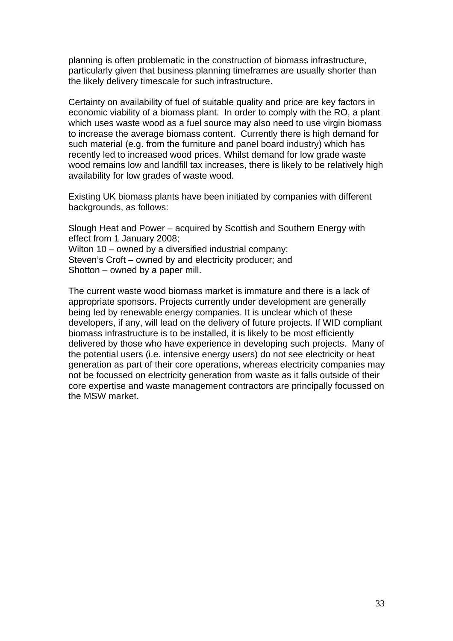planning is often problematic in the construction of biomass infrastructure, particularly given that business planning timeframes are usually shorter than the likely delivery timescale for such infrastructure.

Certainty on availability of fuel of suitable quality and price are key factors in economic viability of a biomass plant. In order to comply with the RO, a plant which uses waste wood as a fuel source may also need to use virgin biomass to increase the average biomass content. Currently there is high demand for such material (e.g. from the furniture and panel board industry) which has recently led to increased wood prices. Whilst demand for low grade waste wood remains low and landfill tax increases, there is likely to be relatively high availability for low grades of waste wood.

Existing UK biomass plants have been initiated by companies with different backgrounds, as follows:

Slough Heat and Power – acquired by Scottish and Southern Energy with effect from 1 January 2008; Wilton 10 – owned by a diversified industrial company; Steven's Croft – owned by and electricity producer; and Shotton – owned by a paper mill.

The current waste wood biomass market is immature and there is a lack of appropriate sponsors. Projects currently under development are generally being led by renewable energy companies. It is unclear which of these developers, if any, will lead on the delivery of future projects. If WID compliant biomass infrastructure is to be installed, it is likely to be most efficiently delivered by those who have experience in developing such projects. Many of the potential users (i.e. intensive energy users) do not see electricity or heat generation as part of their core operations, whereas electricity companies may not be focussed on electricity generation from waste as it falls outside of their core expertise and waste management contractors are principally focussed on the MSW market.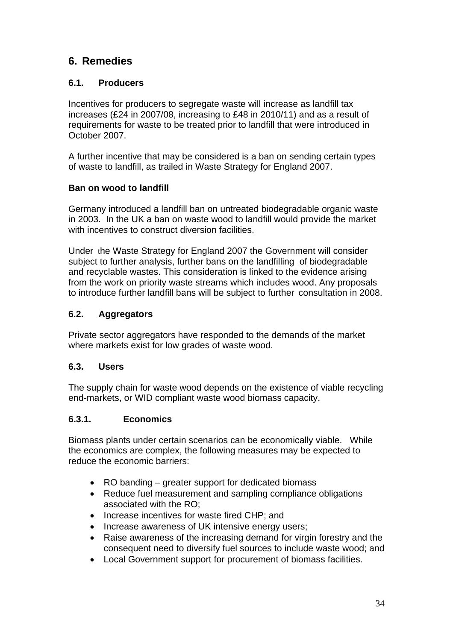## **6. Remedies**

#### **6.1. Producers**

Incentives for producers to segregate waste will increase as landfill tax increases (£24 in 2007/08, increasing to £48 in 2010/11) and as a result of requirements for waste to be treated prior to landfill that were introduced in October 2007.

A further incentive that may be considered is a ban on sending certain types of waste to landfill, as trailed in Waste Strategy for England 2007.

#### **Ban on wood to landfill**

Germany introduced a landfill ban on untreated biodegradable organic waste in 2003. In the UK a ban on waste wood to landfill would provide the market with incentives to construct diversion facilities.

Under the Waste Strategy for England 2007 the Government will consider subject to further analysis, further bans on the landfilling of biodegradable and recyclable wastes. This consideration is linked to the evidence arising from the work on priority waste streams which includes wood. Any proposals to introduce further landfill bans will be subject to further consultation in 2008.

## **6.2. Aggregators**

Private sector aggregators have responded to the demands of the market where markets exist for low grades of waste wood.

## **6.3. Users**

The supply chain for waste wood depends on the existence of viable recycling end-markets, or WID compliant waste wood biomass capacity.

## **6.3.1. Economics**

Biomass plants under certain scenarios can be economically viable. While the economics are complex, the following measures may be expected to reduce the economic barriers:

- RO banding greater support for dedicated biomass
- Reduce fuel measurement and sampling compliance obligations associated with the RO;
- Increase incentives for waste fired CHP; and
- Increase awareness of UK intensive energy users;
- Raise awareness of the increasing demand for virgin forestry and the consequent need to diversify fuel sources to include waste wood; and
- Local Government support for procurement of biomass facilities.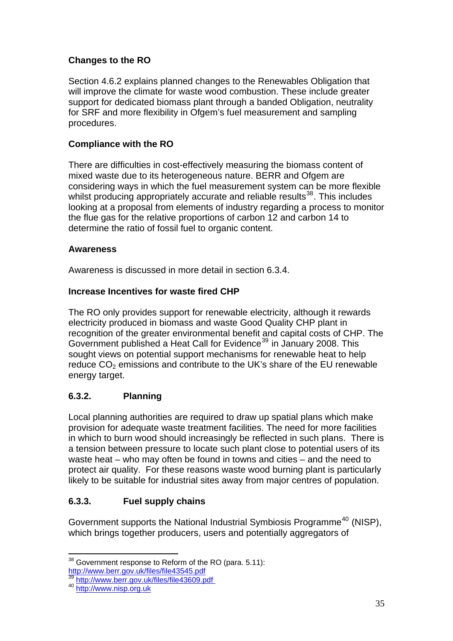## **Changes to the RO**

Section 4.6.2 explains planned changes to the Renewables Obligation that will improve the climate for waste wood combustion. These include greater support for dedicated biomass plant through a banded Obligation, neutrality for SRF and more flexibility in Ofgem's fuel measurement and sampling procedures.

## **Compliance with the RO**

There are difficulties in cost-effectively measuring the biomass content of mixed waste due to its heterogeneous nature. BERR and Ofgem are considering ways in which the fuel measurement system can be more flexible whilst producing appropriately accurate and reliable results<sup>[38](#page-35-0)</sup>. This includes looking at a proposal from elements of industry regarding a process to monitor the flue gas for the relative proportions of carbon 12 and carbon 14 to determine the ratio of fossil fuel to organic content.

#### **Awareness**

Awareness is discussed in more detail in section 6.3.4.

## **Increase Incentives for waste fired CHP**

The RO only provides support for renewable electricity, although it rewards electricity produced in biomass and waste Good Quality CHP plant in recognition of the greater environmental benefit and capital costs of CHP. The Government published a Heat Call for Evidence<sup>[39](#page-35-1)</sup> in January 2008. This sought views on potential support mechanisms for renewable heat to help reduce  $CO<sub>2</sub>$  emissions and contribute to the UK's share of the EU renewable energy target.

## **6.3.2. Planning**

Local planning authorities are required to draw up spatial plans which make provision for adequate waste treatment facilities. The need for more facilities in which to burn wood should increasingly be reflected in such plans. There is a tension between pressure to locate such plant close to potential users of its waste heat – who may often be found in towns and cities – and the need to protect air quality. For these reasons waste wood burning plant is particularly likely to be suitable for industrial sites away from major centres of population.

## **6.3.3. Fuel supply chains**

Government supports the National Industrial Symbiosis Programme<sup>[40](#page-35-2)</sup> (NISP), which brings together producers, users and potentially aggregators of

l  $38$  Government response to Reform of the RO (para. 5.11):

<span id="page-35-1"></span><span id="page-35-0"></span><http://www.berr.gov.uk/files/file43545.pdf> [39](http://www.berr.gov.uk/files/file43545.pdf) <http://www.berr.gov.uk/files/file43609.pdf>40 [http://www.nisp.org.uk](http://www.nisp.org.uk/)

<span id="page-35-2"></span>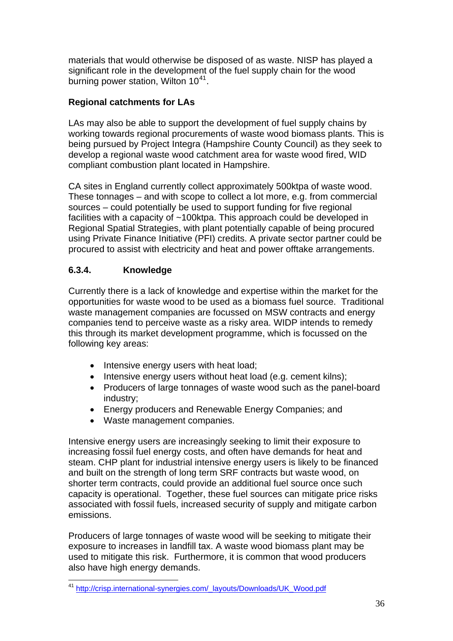materials that would otherwise be disposed of as waste. NISP has played a significant role in the development of the fuel supply chain for the wood burning power station, Wilton 10<sup>[41](#page-36-0)</sup>.

## **Regional catchments for LAs**

LAs may also be able to support the development of fuel supply chains by working towards regional procurements of waste wood biomass plants. This is being pursued by Project Integra (Hampshire County Council) as they seek to develop a regional waste wood catchment area for waste wood fired, WID compliant combustion plant located in Hampshire.

CA sites in England currently collect approximately 500ktpa of waste wood. These tonnages – and with scope to collect a lot more, e.g. from commercial sources – could potentially be used to support funding for five regional facilities with a capacity of ~100ktpa. This approach could be developed in Regional Spatial Strategies, with plant potentially capable of being procured using Private Finance Initiative (PFI) credits. A private sector partner could be procured to assist with electricity and heat and power offtake arrangements.

## **6.3.4. Knowledge**

Currently there is a lack of knowledge and expertise within the market for the opportunities for waste wood to be used as a biomass fuel source. Traditional waste management companies are focussed on MSW contracts and energy companies tend to perceive waste as a risky area. WIDP intends to remedy this through its market development programme, which is focussed on the following key areas:

- Intensive energy users with heat load;
- Intensive energy users without heat load (e.g. cement kilns);
- Producers of large tonnages of waste wood such as the panel-board industry;
- Energy producers and Renewable Energy Companies; and
- Waste management companies.

Intensive energy users are increasingly seeking to limit their exposure to increasing fossil fuel energy costs, and often have demands for heat and steam. CHP plant for industrial intensive energy users is likely to be financed and built on the strength of long term SRF contracts but waste wood, on shorter term contracts, could provide an additional fuel source once such capacity is operational. Together, these fuel sources can mitigate price risks associated with fossil fuels, increased security of supply and mitigate carbon emissions.

Producers of large tonnages of waste wood will be seeking to mitigate their exposure to increases in landfill tax. A waste wood biomass plant may be used to mitigate this risk. Furthermore, it is common that wood producers also have high energy demands.

<span id="page-36-0"></span>l <sup>41</sup> [http://crisp.international-synergies.com/\\_layouts/Downloads/UK\\_Wood.pdf](http://crisp.international-synergies.com/_layouts/Downloads/UK_Wood.pdf)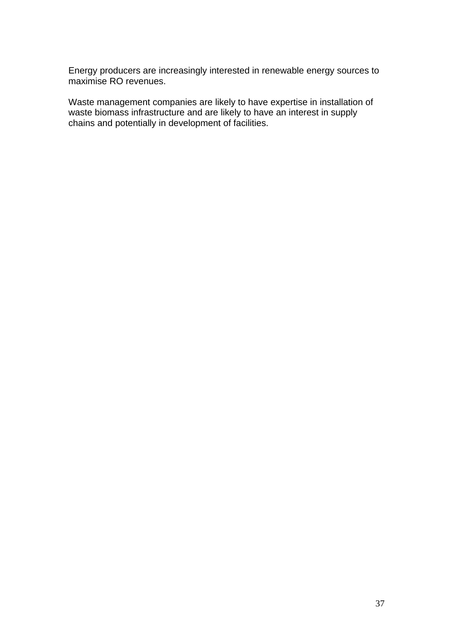Energy producers are increasingly interested in renewable energy sources to maximise RO revenues.

Waste management companies are likely to have expertise in installation of waste biomass infrastructure and are likely to have an interest in supply chains and potentially in development of facilities.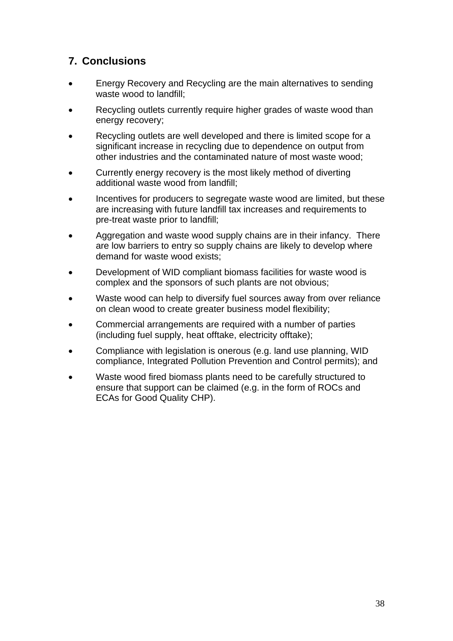## **7. Conclusions**

- Energy Recovery and Recycling are the main alternatives to sending waste wood to landfill;
- Recycling outlets currently require higher grades of waste wood than energy recovery;
- Recycling outlets are well developed and there is limited scope for a significant increase in recycling due to dependence on output from other industries and the contaminated nature of most waste wood;
- Currently energy recovery is the most likely method of diverting additional waste wood from landfill;
- Incentives for producers to segregate waste wood are limited, but these are increasing with future landfill tax increases and requirements to pre-treat waste prior to landfill;
- Aggregation and waste wood supply chains are in their infancy. There are low barriers to entry so supply chains are likely to develop where demand for waste wood exists;
- Development of WID compliant biomass facilities for waste wood is complex and the sponsors of such plants are not obvious;
- Waste wood can help to diversify fuel sources away from over reliance on clean wood to create greater business model flexibility;
- Commercial arrangements are required with a number of parties (including fuel supply, heat offtake, electricity offtake);
- Compliance with legislation is onerous (e.g. land use planning, WID compliance, Integrated Pollution Prevention and Control permits); and
- Waste wood fired biomass plants need to be carefully structured to ensure that support can be claimed (e.g. in the form of ROCs and ECAs for Good Quality CHP).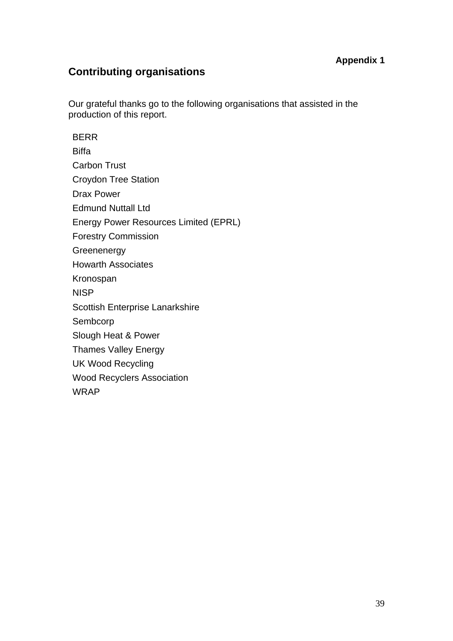#### **Appendix 1**

## **Contributing organisations**

Our grateful thanks go to the following organisations that assisted in the production of this report.

BERR **Biffa** Carbon Trust Croydon Tree Station Drax Power Edmund Nuttall Ltd Energy Power Resources Limited (EPRL) Forestry Commission **Greenenergy** Howarth Associates Kronospan NISP Scottish Enterprise Lanarkshire Sembcorp Slough Heat & Power Thames Valley Energy UK Wood Recycling Wood Recyclers Association WRAP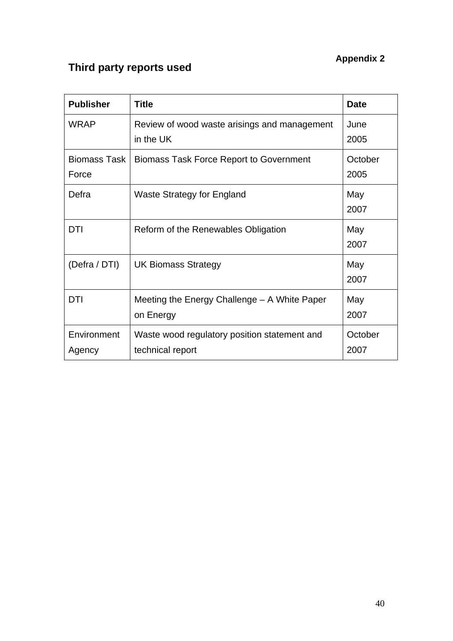# **Appendix 2**

# **Third party reports used**

| <b>Publisher</b>      | <b>Title</b>                                                     | <b>Date</b>     |
|-----------------------|------------------------------------------------------------------|-----------------|
| <b>WRAP</b>           | Review of wood waste arisings and management<br>in the UK        | June<br>2005    |
| Biomass Task<br>Force | <b>Biomass Task Force Report to Government</b>                   | October<br>2005 |
| Defra                 | <b>Waste Strategy for England</b>                                | May<br>2007     |
| DTI                   | Reform of the Renewables Obligation                              | May<br>2007     |
| (Defra / DTI)         | <b>UK Biomass Strategy</b>                                       | May<br>2007     |
| <b>DTI</b>            | Meeting the Energy Challenge - A White Paper<br>on Energy        | May<br>2007     |
| Environment<br>Agency | Waste wood regulatory position statement and<br>technical report | October<br>2007 |